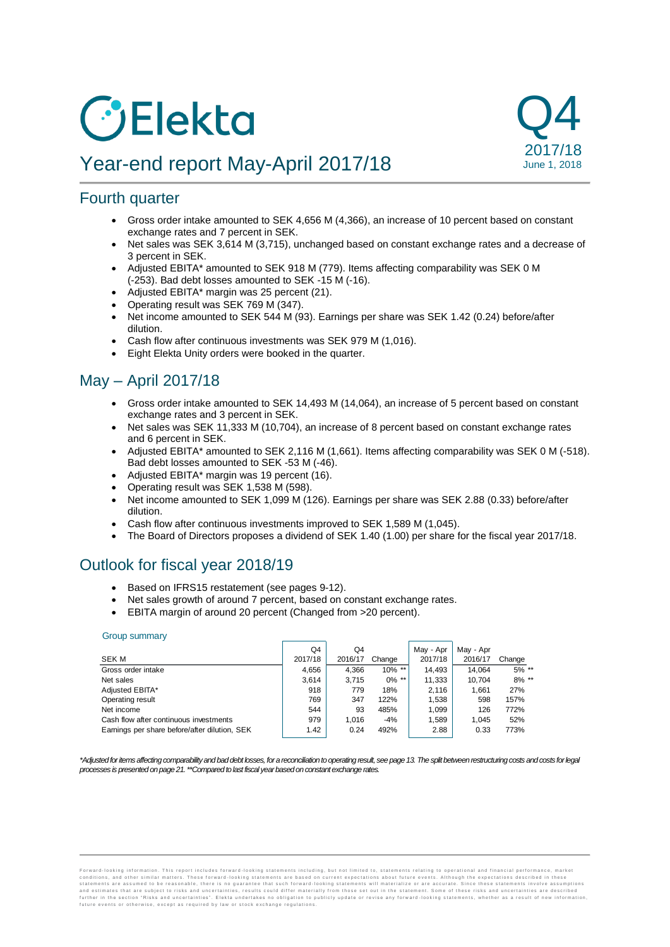# **C**Blekta

# Year-end report May-April 2017/18



# Fourth quarter

- Gross order intake amounted to SEK 4,656 M (4,366), an increase of 10 percent based on constant exchange rates and 7 percent in SEK.
- Net sales was SEK 3,614 M (3,715), unchanged based on constant exchange rates and a decrease of 3 percent in SEK.
- Adjusted EBITA\* amounted to SEK 918 M (779). Items affecting comparability was SEK 0 M (-253). Bad debt losses amounted to SEK -15 M (-16).
- Adjusted EBITA\* margin was 25 percent (21).
- Operating result was SEK 769 M (347).
- Net income amounted to SEK 544 M (93). Earnings per share was SEK 1.42 (0.24) before/after dilution.
- Cash flow after continuous investments was SEK 979 M (1,016).
- Eight Elekta Unity orders were booked in the quarter.

# May – April 2017/18

- Gross order intake amounted to SEK 14,493 M (14,064), an increase of 5 percent based on constant exchange rates and 3 percent in SEK.
- Net sales was SEK 11,333 M (10,704), an increase of 8 percent based on constant exchange rates and 6 percent in SEK.
- Adjusted EBITA\* amounted to SEK 2,116 M (1,661). Items affecting comparability was SEK 0 M (-518). Bad debt losses amounted to SEK -53 M (-46).
- Adjusted EBITA\* margin was 19 percent (16).
- Operating result was SEK 1,538 M (598).
- Net income amounted to SEK 1,099 M (126). Earnings per share was SEK 2.88 (0.33) before/after dilution.
- Cash flow after continuous investments improved to SEK 1,589 M (1,045).
- The Board of Directors proposes a dividend of SEK 1.40 (1.00) per share for the fiscal year 2017/18.

# Outlook for fiscal year 2018/19

- Based on IFRS15 restatement (see pages 9-12).
- Net sales growth of around 7 percent, based on constant exchange rates.
- EBITA margin of around 20 percent (Changed from >20 percent).

#### Group summary

|                                               | Q4      | Q4      |           | May - Apr | May - Apr |          |
|-----------------------------------------------|---------|---------|-----------|-----------|-----------|----------|
| <b>SEK M</b>                                  | 2017/18 | 2016/17 | Change    | 2017/18   | 2016/17   | Change   |
| Gross order intake                            | 4.656   | 4.366   | $10\%$ ** | 14.493    | 14.064    | $5\%$ ** |
| Net sales                                     | 3.614   | 3.715   | $0\%$ **  | 11.333    | 10.704    | $8\%$ ** |
| Adjusted EBITA*                               | 918     | 779     | 18%       | 2.116     | 1.661     | 27%      |
| Operating result                              | 769     | 347     | 122%      | 1.538     | 598       | 157%     |
| Net income                                    | 544     | 93      | 485%      | 1.099     | 126       | 772%     |
| Cash flow after continuous investments        | 979     | 1.016   | $-4%$     | 1.589     | 1.045     | 52%      |
| Earnings per share before/after dilution, SEK | 1.42    | 0.24    | 492%      | 2.88      | 0.33      | 773%     |

*\*Adjusted for items affecting comparability and bad debt losses, for a reconciliation to operating result, see page 13. The split between restructuring costs and costs for legal*  processes is presented on page 21. \*\*Compared to last fiscal year based on constant exchange rates.

Forward-looking information. This report includes forward-looking statements including, but not limited to, statements relating to operational and financial performance, market<br>conditions, and other similar matters. These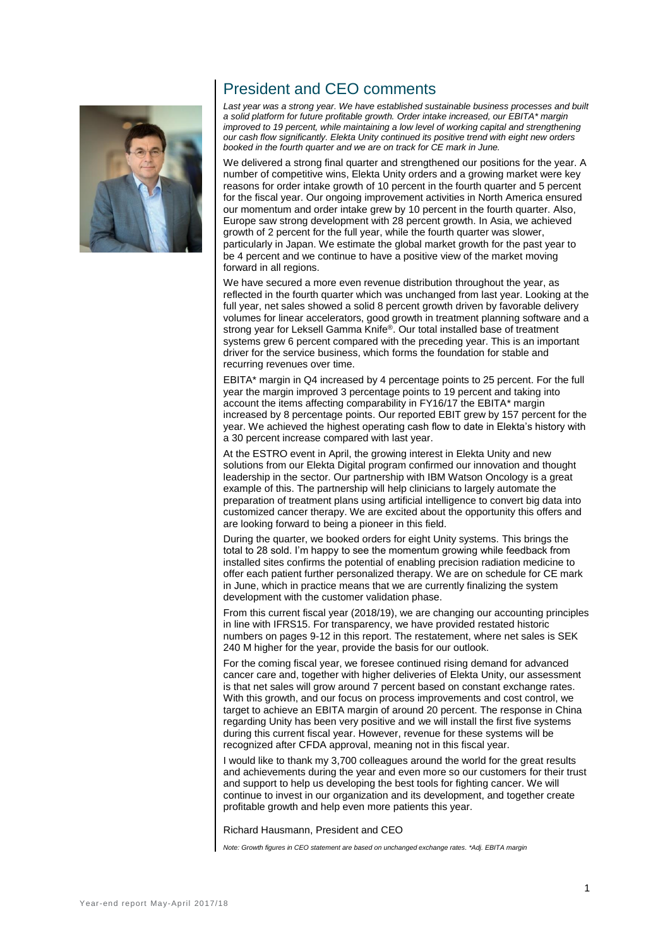

# President and CEO comments

*Last year was a strong year. We have established sustainable business processes and built a solid platform for future profitable growth. Order intake increased, our EBITA\* margin improved to 19 percent, while maintaining a low level of working capital and strengthening our cash flow significantly. Elekta Unity continued its positive trend with eight new orders booked in the fourth quarter and we are on track for CE mark in June.*

We delivered a strong final quarter and strengthened our positions for the year. A number of competitive wins, Elekta Unity orders and a growing market were key reasons for order intake growth of 10 percent in the fourth quarter and 5 percent for the fiscal year. Our ongoing improvement activities in North America ensured our momentum and order intake grew by 10 percent in the fourth quarter. Also, Europe saw strong development with 28 percent growth. In Asia, we achieved growth of 2 percent for the full year, while the fourth quarter was slower, particularly in Japan. We estimate the global market growth for the past year to be 4 percent and we continue to have a positive view of the market moving forward in all regions.

We have secured a more even revenue distribution throughout the year, as reflected in the fourth quarter which was unchanged from last year. Looking at the full year, net sales showed a solid 8 percent growth driven by favorable delivery volumes for linear accelerators, good growth in treatment planning software and a strong year for Leksell Gamma Knife®. Our total installed base of treatment systems grew 6 percent compared with the preceding year. This is an important driver for the service business, which forms the foundation for stable and recurring revenues over time.

EBITA\* margin in Q4 increased by 4 percentage points to 25 percent. For the full year the margin improved 3 percentage points to 19 percent and taking into account the items affecting comparability in FY16/17 the EBITA\* margin increased by 8 percentage points. Our reported EBIT grew by 157 percent for the year. We achieved the highest operating cash flow to date in Elekta's history with a 30 percent increase compared with last year.

At the ESTRO event in April, the growing interest in Elekta Unity and new solutions from our Elekta Digital program confirmed our innovation and thought leadership in the sector. Our partnership with IBM Watson Oncology is a great example of this. The partnership will help clinicians to largely automate the preparation of treatment plans using artificial intelligence to convert big data into customized cancer therapy. We are excited about the opportunity this offers and are looking forward to being a pioneer in this field.

During the quarter, we booked orders for eight Unity systems. This brings the total to 28 sold. I'm happy to see the momentum growing while feedback from installed sites confirms the potential of enabling precision radiation medicine to offer each patient further personalized therapy. We are on schedule for CE mark in June, which in practice means that we are currently finalizing the system development with the customer validation phase.

From this current fiscal year (2018/19), we are changing our accounting principles in line with IFRS15. For transparency, we have provided restated historic numbers on pages 9-12 in this report. The restatement, where net sales is SEK 240 M higher for the year, provide the basis for our outlook.

For the coming fiscal year, we foresee continued rising demand for advanced cancer care and, together with higher deliveries of Elekta Unity, our assessment is that net sales will grow around 7 percent based on constant exchange rates. With this growth, and our focus on process improvements and cost control, we target to achieve an EBITA margin of around 20 percent. The response in China regarding Unity has been very positive and we will install the first five systems during this current fiscal year. However, revenue for these systems will be recognized after CFDA approval, meaning not in this fiscal year.

I would like to thank my 3,700 colleagues around the world for the great results and achievements during the year and even more so our customers for their trust and support to help us developing the best tools for fighting cancer. We will continue to invest in our organization and its development, and together create profitable growth and help even more patients this year.

#### Richard Hausmann, President and CEO

*Note: Growth figures in CEO statement are based on unchanged exchange rates. \*Adj. EBITA margin*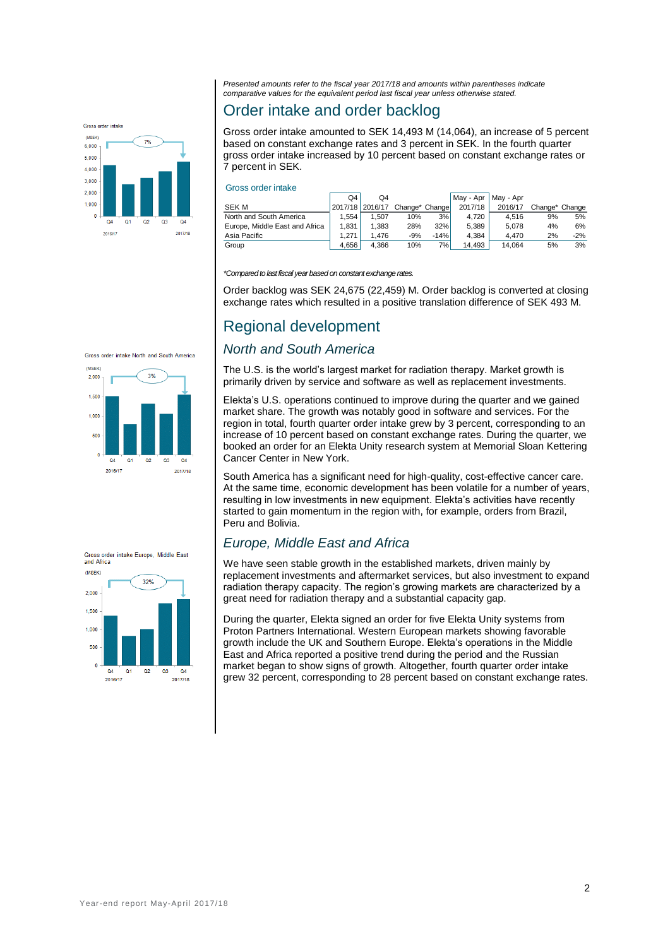

*Presented amounts refer to the fiscal year 2017/18 and amounts within parentheses indicate comparative values for the equivalent period last fiscal year unless otherwise stated.*

# Order intake and order backlog

Gross order intake amounted to SEK 14,493 M (14,064), an increase of 5 percent based on constant exchange rates and 3 percent in SEK. In the fourth quarter gross order intake increased by 10 percent based on constant exchange rates or 7 percent in SEK.

#### Gross order intake

|                                | Q4    | O4              |                |        | May - Apr | May - Apr |                |       |
|--------------------------------|-------|-----------------|----------------|--------|-----------|-----------|----------------|-------|
| <b>SEK M</b>                   |       | 2017/18 2016/17 | Change* Change |        | 2017/18   | 2016/17   | Change* Change |       |
| North and South America        | .554  | 1.507           | 10%            | 3%     | 4.720     | 4.516     | 9%             | 5%    |
| Europe, Middle East and Africa | 1.831 | 1.383           | 28%            | 32%    | 5.389     | 5.078     | 4%             | 6%    |
| Asia Pacific                   | 1.271 | 1.476           | $-9%$          | $-14%$ | 4.384     | 4.470     | 2%             | $-2%$ |
| Group                          | 4.656 | 4.366           | 10%            | 7%1    | 14.493    | 14.064    | 5%             | 3%    |

*\*Compared to last fiscal year based on constant exchange rates.*

Order backlog was SEK 24,675 (22,459) M. Order backlog is converted at closing exchange rates which resulted in a positive translation difference of SEK 493 M.

# Regional development

## *North and South America*

The U.S. is the world's largest market for radiation therapy. Market growth is primarily driven by service and software as well as replacement investments.

Elekta's U.S. operations continued to improve during the quarter and we gained market share. The growth was notably good in software and services. For the region in total, fourth quarter order intake grew by 3 percent, corresponding to an increase of 10 percent based on constant exchange rates. During the quarter, we booked an order for an Elekta Unity research system at Memorial Sloan Kettering Cancer Center in New York.

South America has a significant need for high-quality, cost-effective cancer care. At the same time, economic development has been volatile for a number of years, resulting in low investments in new equipment. Elekta's activities have recently started to gain momentum in the region with, for example, orders from Brazil, Peru and Bolivia.

# *Europe, Middle East and Africa*

We have seen stable growth in the established markets, driven mainly by replacement investments and aftermarket services, but also investment to expand radiation therapy capacity. The region's growing markets are characterized by a great need for radiation therapy and a substantial capacity gap.

During the quarter, Elekta signed an order for five Elekta Unity systems from Proton Partners International. Western European markets showing favorable growth include the UK and Southern Europe. Elekta's operations in the Middle East and Africa reported a positive trend during the period and the Russian market began to show signs of growth. Altogether, fourth quarter order intake grew 32 percent, corresponding to 28 percent based on constant exchange rates.



Gross order intake North and South America

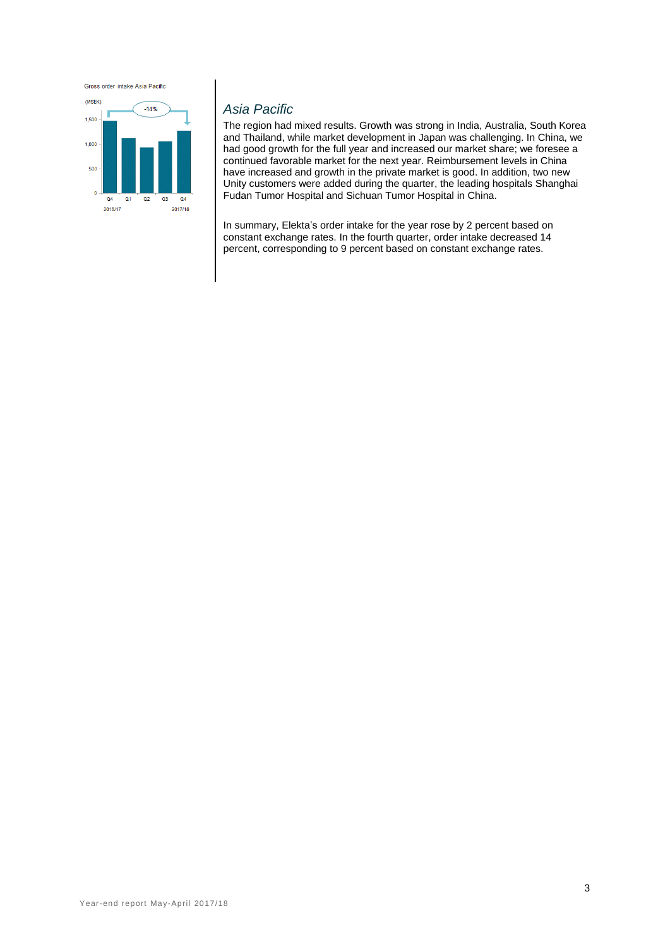Gross order intake Asia Pacific



## *Asia Pacific*

The region had mixed results. Growth was strong in India, Australia, South Korea and Thailand, while market development in Japan was challenging. In China, we had good growth for the full year and increased our market share; we foresee a continued favorable market for the next year. Reimbursement levels in China have increased and growth in the private market is good. In addition, two new Unity customers were added during the quarter, the leading hospitals Shanghai Fudan Tumor Hospital and Sichuan Tumor Hospital in China.

In summary, Elekta's order intake for the year rose by 2 percent based on constant exchange rates. In the fourth quarter, order intake decreased 14 percent, corresponding to 9 percent based on constant exchange rates.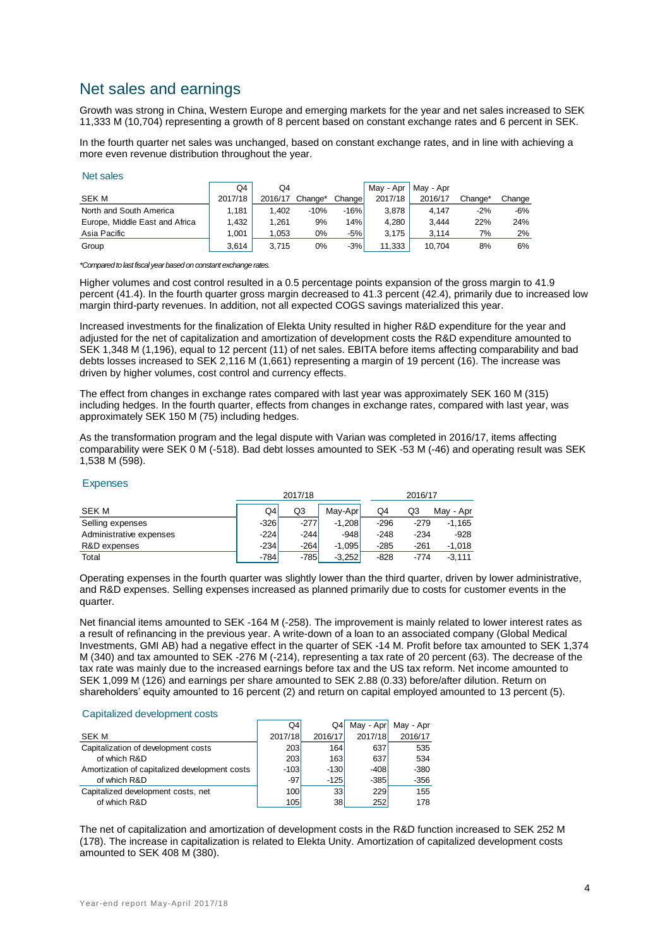# Net sales and earnings

Growth was strong in China, Western Europe and emerging markets for the year and net sales increased to SEK 11,333 M (10,704) representing a growth of 8 percent based on constant exchange rates and 6 percent in SEK.

In the fourth quarter net sales was unchanged, based on constant exchange rates, and in line with achieving a more even revenue distribution throughout the year.

#### Net sales

|                                | Q4      | Q4      |         |        | Mav - Apr | Mav - Apr |         |        |
|--------------------------------|---------|---------|---------|--------|-----------|-----------|---------|--------|
| SEK M                          | 2017/18 | 2016/17 | Change* | Change | 2017/18   | 2016/17   | Change* | Change |
| North and South America        | 1,181   | 1.402   | $-10%$  | $-16%$ | 3.878     | 4.147     | $-2%$   | $-6%$  |
| Europe, Middle East and Africa | 1.432   | 1.261   | 9%      | 14%    | 4.280     | 3.444     | 22%     | 24%    |
| Asia Pacific                   | 1.001   | 1.053   | $0\%$   | $-5%$  | 3.175     | 3.114     | 7%      | 2%     |
| Group                          | 3.614   | 3.715   | $0\%$   | $-3%$  | 11,333    | 10.704    | 8%      | 6%     |

*\*Compared to last fiscal year based on constant exchange rates.*

Higher volumes and cost control resulted in a 0.5 percentage points expansion of the gross margin to 41.9 percent (41.4). In the fourth quarter gross margin decreased to 41.3 percent (42.4), primarily due to increased low margin third-party revenues. In addition, not all expected COGS savings materialized this year.

Increased investments for the finalization of Elekta Unity resulted in higher R&D expenditure for the year and adjusted for the net of capitalization and amortization of development costs the R&D expenditure amounted to SEK 1,348 M (1,196), equal to 12 percent (11) of net sales. EBITA before items affecting comparability and bad debts losses increased to SEK 2,116 M (1,661) representing a margin of 19 percent (16). The increase was driven by higher volumes, cost control and currency effects.

The effect from changes in exchange rates compared with last year was approximately SEK 160 M (315) including hedges. In the fourth quarter, effects from changes in exchange rates, compared with last year, was approximately SEK 150 M (75) including hedges.

As the transformation program and the legal dispute with Varian was completed in 2016/17, items affecting comparability were SEK 0 M (-518). Bad debt losses amounted to SEK -53 M (-46) and operating result was SEK 1,538 M (598).

#### Expenses

|                         |        |        | 2016/17  |        |        |           |
|-------------------------|--------|--------|----------|--------|--------|-----------|
| <b>SEK M</b>            | Q4     | Q3     | Mav-Apr  | Q4     | Q3     | May - Apr |
| Selling expenses        | $-326$ | $-277$ | $-1,208$ | $-296$ | $-279$ | $-1.165$  |
| Administrative expenses | $-224$ | $-244$ | $-948$   | $-248$ | $-234$ | $-928$    |
| R&D expenses            | $-234$ | $-264$ | $-1.095$ | $-285$ | $-261$ | $-1.018$  |
| Total                   | $-784$ | $-785$ | $-3.252$ | $-828$ | $-774$ | $-3.111$  |

Operating expenses in the fourth quarter was slightly lower than the third quarter, driven by lower administrative, and R&D expenses. Selling expenses increased as planned primarily due to costs for customer events in the quarter.

Net financial items amounted to SEK -164 M (-258). The improvement is mainly related to lower interest rates as a result of refinancing in the previous year. A write-down of a loan to an associated company (Global Medical Investments, GMI AB) had a negative effect in the quarter of SEK -14 M. Profit before tax amounted to SEK 1,374 M (340) and tax amounted to SEK -276 M (-214), representing a tax rate of 20 percent (63). The decrease of the tax rate was mainly due to the increased earnings before tax and the US tax reform. Net income amounted to SEK 1,099 M (126) and earnings per share amounted to SEK 2.88 (0.33) before/after dilution. Return on shareholders' equity amounted to 16 percent (2) and return on capital employed amounted to 13 percent (5).

#### Capitalized development costs

|                                               | Q4      | Q4      | May - Apr | May - Apr |
|-----------------------------------------------|---------|---------|-----------|-----------|
| <b>SEK M</b>                                  | 2017/18 | 2016/17 | 2017/18   | 2016/17   |
| Capitalization of development costs           | 203     | 164     | 637       | 535       |
| of which R&D                                  | 203     | 163     | 637       | 534       |
| Amortization of capitalized development costs | $-103$  | $-130$  | $-408$    | $-380$    |
| of which R&D                                  | $-97$   | $-125$  | $-385$    | $-356$    |
| Capitalized development costs, net            | 100     | 33      | 229       | 155       |
| of which R&D                                  | 105     | 38      | 252       | 178       |

The net of capitalization and amortization of development costs in the R&D function increased to SEK 252 M (178). The increase in capitalization is related to Elekta Unity. Amortization of capitalized development costs amounted to SEK 408 M (380).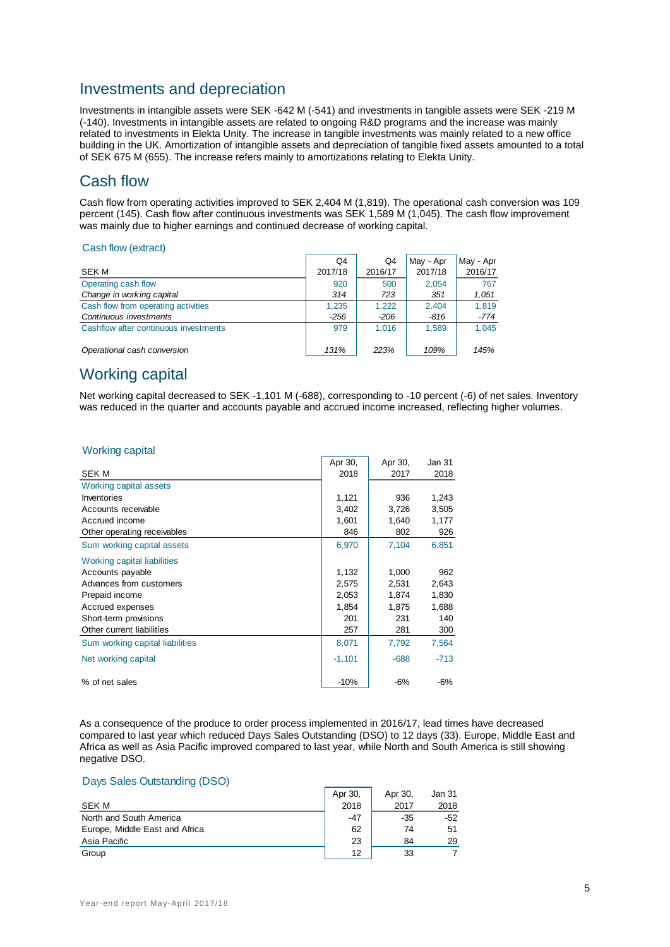# Investments and depreciation

Investments in intangible assets were SEK -642 M (-541) and investments in tangible assets were SEK -219 M (-140). Investments in intangible assets are related to ongoing R&D programs and the increase was mainly related to investments in Elekta Unity. The increase in tangible investments was mainly related to a new office building in the UK. Amortization of intangible assets and depreciation of tangible fixed assets amounted to a total of SEK 675 M (655). The increase refers mainly to amortizations relating to Elekta Unity.

# Cash flow

Cash flow from operating activities improved to SEK 2,404 M (1,819). The operational cash conversion was 109 percent (145). Cash flow after continuous investments was SEK 1,589 M (1,045). The cash flow improvement was mainly due to higher earnings and continued decrease of working capital.

#### Cash flow (extract)

|                                       | Q4      | Q4      | May - Apr | May - Apr |
|---------------------------------------|---------|---------|-----------|-----------|
| SEK M                                 | 2017/18 | 2016/17 | 2017/18   | 2016/17   |
| Operating cash flow                   | 920     | 500     | 2,054     | 767       |
| Change in working capital             | 314     | 723     | 351       | 1,051     |
| Cash flow from operating activities   | 1,235   | 1.222   | 2.404     | 1,819     |
| Continuous investments                | -256    | -206    | -816      | $-774$    |
| Cashflow after continuous investments | 979     | 1.016   | 1.589     | 1.045     |
| Operational cash conversion           | 131%    | 223%    | 109%      | 145%      |

# Working capital

Net working capital decreased to SEK -1,101 M (-688), corresponding to -10 percent (-6) of net sales. Inventory was reduced in the quarter and accounts payable and accrued income increased, reflecting higher volumes.

| <b>Working capital</b> |  |  |
|------------------------|--|--|
|                        |  |  |

|                                 | Apr 30,  | Apr 30, | Jan 31 |
|---------------------------------|----------|---------|--------|
| <b>SEK M</b>                    | 2018     | 2017    | 2018   |
| Working capital assets          |          |         |        |
| Inventories                     | 1,121    | 936     | 1,243  |
| Accounts receivable             | 3,402    | 3,726   | 3,505  |
| Accrued income                  | 1,601    | 1,640   | 1,177  |
| Other operating receivables     | 846      | 802     | 926    |
| Sum working capital assets      | 6,970    | 7,104   | 6,851  |
| Working capital liabilities     |          |         |        |
| Accounts payable                | 1,132    | 1,000   | 962    |
| Advances from customers         | 2,575    | 2,531   | 2,643  |
| Prepaid income                  | 2,053    | 1,874   | 1,830  |
| Accrued expenses                | 1,854    | 1,875   | 1,688  |
| Short-term provisions           | 201      | 231     | 140    |
| Other current liabilities       | 257      | 281     | 300    |
| Sum working capital liabilities | 8,071    | 7,792   | 7,564  |
| Net working capital             | $-1,101$ | $-688$  | $-713$ |
| % of net sales                  | $-10%$   | $-6%$   | -6%    |

As a consequence of the produce to order process implemented in 2016/17, lead times have decreased compared to last year which reduced Days Sales Outstanding (DSO) to 12 days (33). Europe, Middle East and Africa as well as Asia Pacific improved compared to last year, while North and South America is still showing negative DSO.

## Days Sales Outstanding (DSO)

|                                | Apr 30, | Apr 30. | Jan 31 |
|--------------------------------|---------|---------|--------|
| SEK M                          | 2018    | 2017    | 2018   |
| North and South America        | $-47$   | $-35$   | $-52$  |
| Europe, Middle East and Africa | 62      | 74      | 51     |
| Asia Pacific                   | 23      | 84      | 29     |
| Group                          | 12      | 33      |        |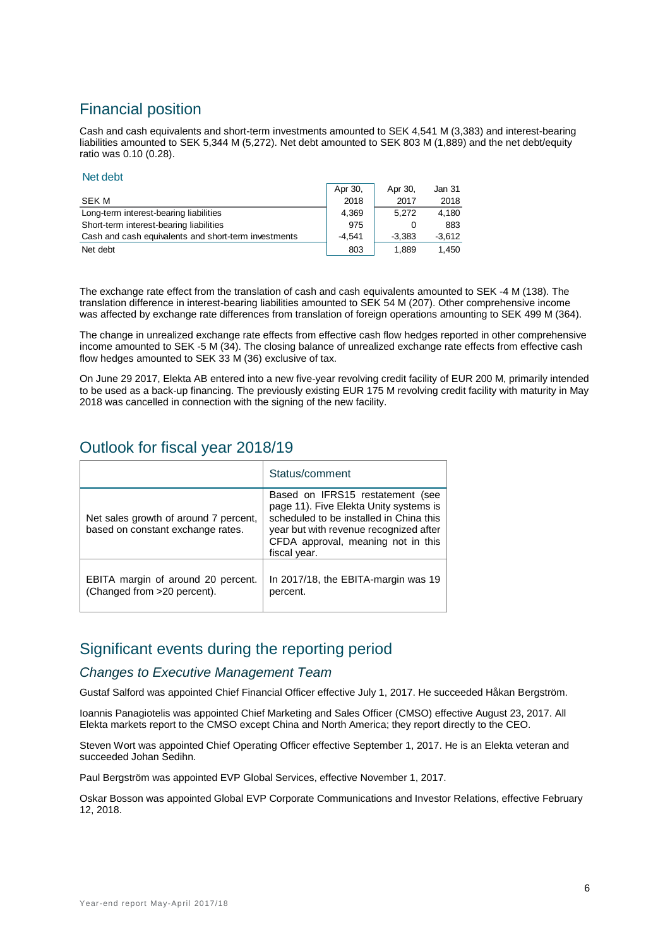# Financial position

Cash and cash equivalents and short-term investments amounted to SEK 4,541 M (3,383) and interest-bearing liabilities amounted to SEK 5,344 M (5,272). Net debt amounted to SEK 803 M (1,889) and the net debt/equity ratio was 0.10 (0.28).

#### Net debt

|                                                      | Apr 30,  | Apr 30,  | Jan 31   |
|------------------------------------------------------|----------|----------|----------|
| <b>SEK M</b>                                         | 2018     | 2017     | 2018     |
| Long-term interest-bearing liabilities               | 4.369    | 5.272    | 4.180    |
| Short-term interest-bearing liabilities              | 975      |          | 883      |
| Cash and cash equivalents and short-term investments | $-4.541$ | $-3.383$ | $-3.612$ |
| Net debt                                             | 803      | 1,889    | 1.450    |

The exchange rate effect from the translation of cash and cash equivalents amounted to SEK -4 M (138). The translation difference in interest-bearing liabilities amounted to SEK 54 M (207). Other comprehensive income was affected by exchange rate differences from translation of foreign operations amounting to SEK 499 M (364).

The change in unrealized exchange rate effects from effective cash flow hedges reported in other comprehensive income amounted to SEK -5 M (34). The closing balance of unrealized exchange rate effects from effective cash flow hedges amounted to SEK 33 M (36) exclusive of tax.

On June 29 2017, Elekta AB entered into a new five-year revolving credit facility of EUR 200 M, primarily intended to be used as a back-up financing. The previously existing EUR 175 M revolving credit facility with maturity in May 2018 was cancelled in connection with the signing of the new facility.

# Outlook for fiscal year 2018/19

|                                                                            | Status/comment                                                                                                                                                                                                        |
|----------------------------------------------------------------------------|-----------------------------------------------------------------------------------------------------------------------------------------------------------------------------------------------------------------------|
| Net sales growth of around 7 percent,<br>based on constant exchange rates. | Based on IFRS15 restatement (see<br>page 11). Five Elekta Unity systems is<br>scheduled to be installed in China this<br>year but with revenue recognized after<br>CFDA approval, meaning not in this<br>fiscal year. |
| EBITA margin of around 20 percent.<br>(Changed from >20 percent).          | In 2017/18, the EBITA-margin was 19<br>percent.                                                                                                                                                                       |

# Significant events during the reporting period

## *Changes to Executive Management Team*

Gustaf Salford was appointed Chief Financial Officer effective July 1, 2017. He succeeded Håkan Bergström.

Ioannis Panagiotelis was appointed Chief Marketing and Sales Officer (CMSO) effective August 23, 2017. All Elekta markets report to the CMSO except China and North America; they report directly to the CEO.

Steven Wort was appointed Chief Operating Officer effective September 1, 2017. He is an Elekta veteran and succeeded Johan Sedihn.

Paul Bergström was appointed EVP Global Services, effective November 1, 2017.

Oskar Bosson was appointed Global EVP Corporate Communications and Investor Relations, effective February 12, 2018.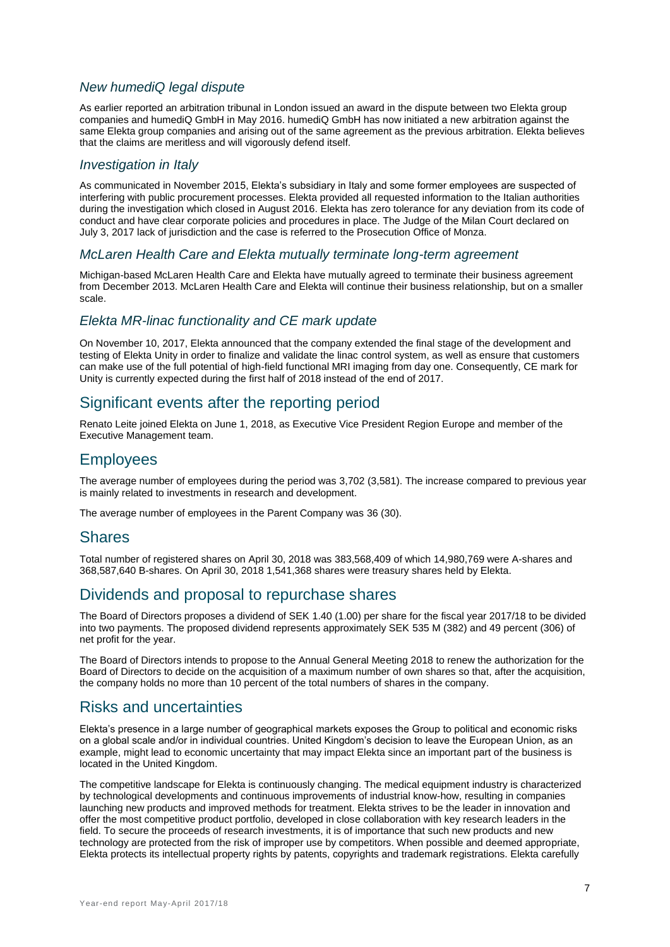## *New humediQ legal dispute*

As earlier reported an arbitration tribunal in London issued an award in the dispute between two Elekta group companies and humediQ GmbH in May 2016. humediQ GmbH has now initiated a new arbitration against the same Elekta group companies and arising out of the same agreement as the previous arbitration. Elekta believes that the claims are meritless and will vigorously defend itself.

## *Investigation in Italy*

As communicated in November 2015, Elekta's subsidiary in Italy and some former employees are suspected of interfering with public procurement processes. Elekta provided all requested information to the Italian authorities during the investigation which closed in August 2016. Elekta has zero tolerance for any deviation from its code of conduct and have clear corporate policies and procedures in place. The Judge of the Milan Court declared on July 3, 2017 lack of jurisdiction and the case is referred to the Prosecution Office of Monza.

## *McLaren Health Care and Elekta mutually terminate long-term agreement*

Michigan-based McLaren Health Care and Elekta have mutually agreed to terminate their business agreement from December 2013. McLaren Health Care and Elekta will continue their business relationship, but on a smaller scale.

## *Elekta MR-linac functionality and CE mark update*

On November 10, 2017, Elekta announced that the company extended the final stage of the development and testing of Elekta Unity in order to finalize and validate the linac control system, as well as ensure that customers can make use of the full potential of high-field functional MRI imaging from day one. Consequently, CE mark for Unity is currently expected during the first half of 2018 instead of the end of 2017.

# Significant events after the reporting period

Renato Leite joined Elekta on June 1, 2018, as Executive Vice President Region Europe and member of the Executive Management team.

# **Employees**

The average number of employees during the period was 3,702 (3,581). The increase compared to previous year is mainly related to investments in research and development.

The average number of employees in the Parent Company was 36 (30).

## **Shares**

Total number of registered shares on April 30, 2018 was 383,568,409 of which 14,980,769 were A-shares and 368,587,640 B-shares. On April 30, 2018 1,541,368 shares were treasury shares held by Elekta.

# Dividends and proposal to repurchase shares

The Board of Directors proposes a dividend of SEK 1.40 (1.00) per share for the fiscal year 2017/18 to be divided into two payments. The proposed dividend represents approximately SEK 535 M (382) and 49 percent (306) of net profit for the year.

The Board of Directors intends to propose to the Annual General Meeting 2018 to renew the authorization for the Board of Directors to decide on the acquisition of a maximum number of own shares so that, after the acquisition, the company holds no more than 10 percent of the total numbers of shares in the company.

## Risks and uncertainties

Elekta's presence in a large number of geographical markets exposes the Group to political and economic risks on a global scale and/or in individual countries. United Kingdom's decision to leave the European Union, as an example, might lead to economic uncertainty that may impact Elekta since an important part of the business is located in the United Kingdom.

The competitive landscape for Elekta is continuously changing. The medical equipment industry is characterized by technological developments and continuous improvements of industrial know-how, resulting in companies launching new products and improved methods for treatment. Elekta strives to be the leader in innovation and offer the most competitive product portfolio, developed in close collaboration with key research leaders in the field. To secure the proceeds of research investments, it is of importance that such new products and new technology are protected from the risk of improper use by competitors. When possible and deemed appropriate, Elekta protects its intellectual property rights by patents, copyrights and trademark registrations. Elekta carefully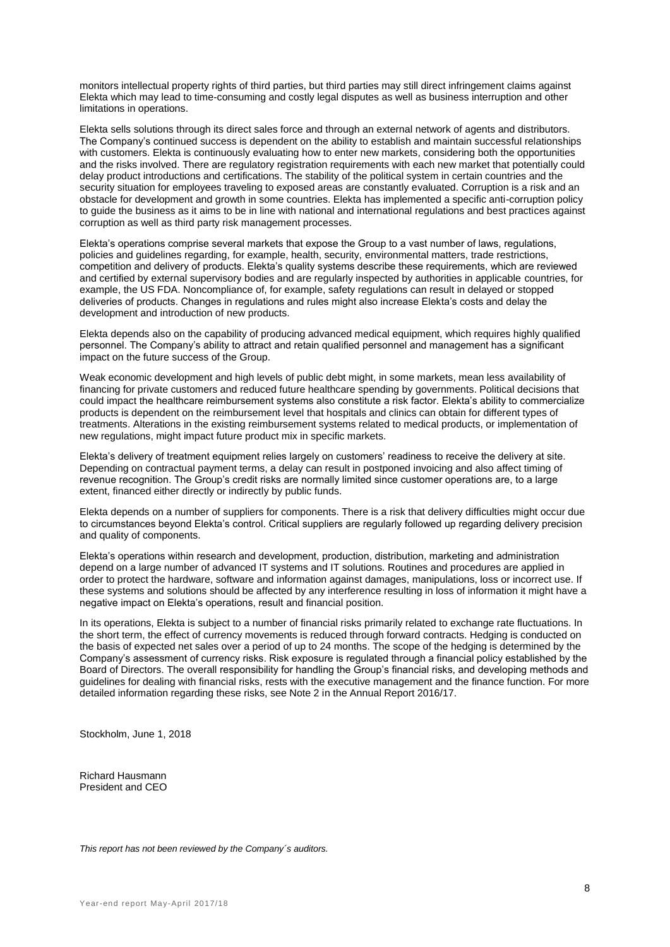monitors intellectual property rights of third parties, but third parties may still direct infringement claims against Elekta which may lead to time-consuming and costly legal disputes as well as business interruption and other limitations in operations.

Elekta sells solutions through its direct sales force and through an external network of agents and distributors. The Company's continued success is dependent on the ability to establish and maintain successful relationships with customers. Elekta is continuously evaluating how to enter new markets, considering both the opportunities and the risks involved. There are regulatory registration requirements with each new market that potentially could delay product introductions and certifications. The stability of the political system in certain countries and the security situation for employees traveling to exposed areas are constantly evaluated. Corruption is a risk and an obstacle for development and growth in some countries. Elekta has implemented a specific anti-corruption policy to guide the business as it aims to be in line with national and international regulations and best practices against corruption as well as third party risk management processes.

Elekta's operations comprise several markets that expose the Group to a vast number of laws, regulations, policies and guidelines regarding, for example, health, security, environmental matters, trade restrictions, competition and delivery of products. Elekta's quality systems describe these requirements, which are reviewed and certified by external supervisory bodies and are regularly inspected by authorities in applicable countries, for example, the US FDA. Noncompliance of, for example, safety regulations can result in delayed or stopped deliveries of products. Changes in regulations and rules might also increase Elekta's costs and delay the development and introduction of new products.

Elekta depends also on the capability of producing advanced medical equipment, which requires highly qualified personnel. The Company's ability to attract and retain qualified personnel and management has a significant impact on the future success of the Group.

Weak economic development and high levels of public debt might, in some markets, mean less availability of financing for private customers and reduced future healthcare spending by governments. Political decisions that could impact the healthcare reimbursement systems also constitute a risk factor. Elekta's ability to commercialize products is dependent on the reimbursement level that hospitals and clinics can obtain for different types of treatments. Alterations in the existing reimbursement systems related to medical products, or implementation of new regulations, might impact future product mix in specific markets.

Elekta's delivery of treatment equipment relies largely on customers' readiness to receive the delivery at site. Depending on contractual payment terms, a delay can result in postponed invoicing and also affect timing of revenue recognition. The Group's credit risks are normally limited since customer operations are, to a large extent, financed either directly or indirectly by public funds.

Elekta depends on a number of suppliers for components. There is a risk that delivery difficulties might occur due to circumstances beyond Elekta's control. Critical suppliers are regularly followed up regarding delivery precision and quality of components.

Elekta's operations within research and development, production, distribution, marketing and administration depend on a large number of advanced IT systems and IT solutions. Routines and procedures are applied in order to protect the hardware, software and information against damages, manipulations, loss or incorrect use. If these systems and solutions should be affected by any interference resulting in loss of information it might have a negative impact on Elekta's operations, result and financial position.

In its operations, Elekta is subject to a number of financial risks primarily related to exchange rate fluctuations. In the short term, the effect of currency movements is reduced through forward contracts. Hedging is conducted on the basis of expected net sales over a period of up to 24 months. The scope of the hedging is determined by the Company's assessment of currency risks. Risk exposure is regulated through a financial policy established by the Board of Directors. The overall responsibility for handling the Group's financial risks, and developing methods and guidelines for dealing with financial risks, rests with the executive management and the finance function. For more detailed information regarding these risks, see Note 2 in the Annual Report 2016/17.

Stockholm, June 1, 2018

Richard Hausmann President and CEO

*This report has not been reviewed by the Company´s auditors.*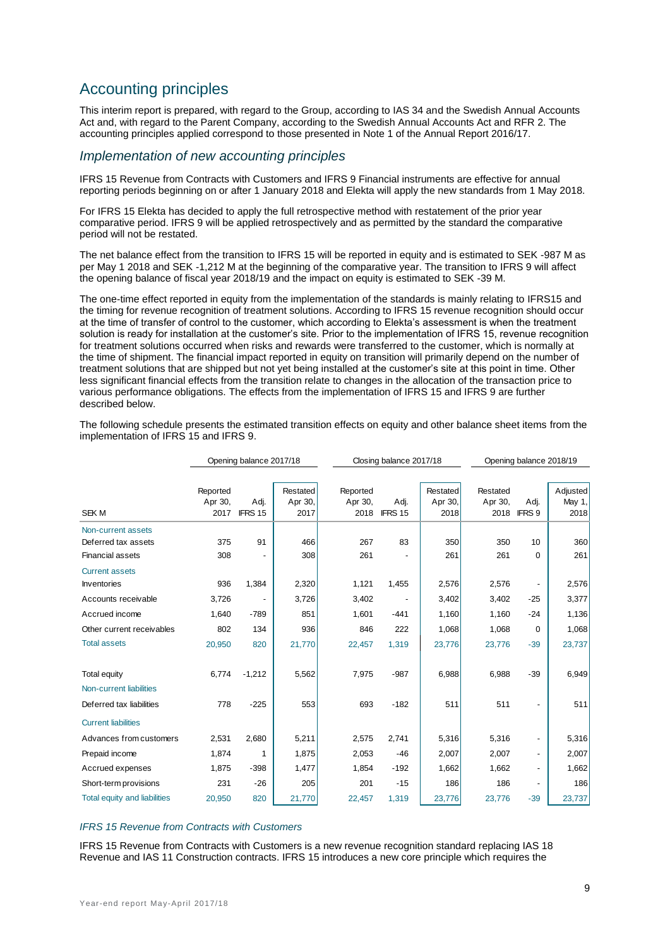# Accounting principles

This interim report is prepared, with regard to the Group, according to IAS 34 and the Swedish Annual Accounts Act and, with regard to the Parent Company, according to the Swedish Annual Accounts Act and RFR 2. The accounting principles applied correspond to those presented in Note 1 of the Annual Report 2016/17.

## *Implementation of new accounting principles*

IFRS 15 Revenue from Contracts with Customers and IFRS 9 Financial instruments are effective for annual reporting periods beginning on or after 1 January 2018 and Elekta will apply the new standards from 1 May 2018.

For IFRS 15 Elekta has decided to apply the full retrospective method with restatement of the prior year comparative period. IFRS 9 will be applied retrospectively and as permitted by the standard the comparative period will not be restated.

The net balance effect from the transition to IFRS 15 will be reported in equity and is estimated to SEK -987 M as per May 1 2018 and SEK -1,212 M at the beginning of the comparative year. The transition to IFRS 9 will affect the opening balance of fiscal year 2018/19 and the impact on equity is estimated to SEK -39 M.

The one-time effect reported in equity from the implementation of the standards is mainly relating to IFRS15 and the timing for revenue recognition of treatment solutions. According to IFRS 15 revenue recognition should occur at the time of transfer of control to the customer, which according to Elekta's assessment is when the treatment solution is ready for installation at the customer's site. Prior to the implementation of IFRS 15, revenue recognition for treatment solutions occurred when risks and rewards were transferred to the customer, which is normally at the time of shipment. The financial impact reported in equity on transition will primarily depend on the number of treatment solutions that are shipped but not yet being installed at the customer's site at this point in time. Other less significant financial effects from the transition relate to changes in the allocation of the transaction price to various performance obligations. The effects from the implementation of IFRS 15 and IFRS 9 are further described below.

|                                     |          | Opening balance 2017/18 |          | Closing balance 2017/18 |         |          |          | Opening balance 2018/19  |          |  |
|-------------------------------------|----------|-------------------------|----------|-------------------------|---------|----------|----------|--------------------------|----------|--|
|                                     |          |                         |          |                         |         |          |          |                          |          |  |
|                                     | Reported |                         | Restated | Reported                |         | Restated | Restated |                          | Adjusted |  |
|                                     | Apr 30,  | Adj.                    | Apr 30,  | Apr 30,                 | Adj.    | Apr 30,  | Apr 30,  | Adj.                     | May 1,   |  |
| <b>SEKM</b>                         | 2017     | IFRS 15                 | 2017     | 2018                    | IFRS 15 | 2018     | 2018     | IFRS 9                   | 2018     |  |
| Non-current assets                  |          |                         |          |                         |         |          |          |                          |          |  |
| Deferred tax assets                 | 375      | 91                      | 466      | 267                     | 83      | 350      | 350      | 10                       | 360      |  |
| <b>Financial assets</b>             | 308      |                         | 308      | 261                     |         | 261      | 261      | 0                        | 261      |  |
| <b>Current assets</b>               |          |                         |          |                         |         |          |          |                          |          |  |
| <b>Inventories</b>                  | 936      | 1,384                   | 2,320    | 1,121                   | 1,455   | 2,576    | 2,576    |                          | 2,576    |  |
| Accounts receivable                 | 3,726    |                         | 3,726    | 3,402                   |         | 3,402    | 3,402    | $-25$                    | 3,377    |  |
| Accrued income                      | 1,640    | $-789$                  | 851      | 1,601                   | $-441$  | 1,160    | 1,160    | $-24$                    | 1,136    |  |
| Other current receivables           | 802      | 134                     | 936      | 846                     | 222     | 1,068    | 1,068    | 0                        | 1,068    |  |
| <b>Total assets</b>                 | 20,950   | 820                     | 21,770   | 22,457                  | 1,319   | 23,776   | 23,776   | $-39$                    | 23,737   |  |
| <b>Total equity</b>                 | 6,774    | $-1,212$                | 5,562    | 7,975                   | $-987$  | 6,988    | 6,988    | $-39$                    | 6,949    |  |
| Non-current liabilities             |          |                         |          |                         |         |          |          |                          |          |  |
| Deferred tax liabilities            | 778      | $-225$                  | 553      | 693                     | $-182$  | 511      | 511      |                          | 511      |  |
| <b>Current liabilities</b>          |          |                         |          |                         |         |          |          |                          |          |  |
| Advances from customers             | 2,531    | 2,680                   | 5,211    | 2,575                   | 2,741   | 5,316    | 5,316    |                          | 5,316    |  |
| Prepaid income                      | 1,874    | 1                       | 1,875    | 2,053                   | $-46$   | 2,007    | 2,007    | $\overline{\phantom{0}}$ | 2,007    |  |
| Accrued expenses                    | 1,875    | $-398$                  | 1,477    | 1,854                   | $-192$  | 1,662    | 1,662    | -                        | 1,662    |  |
| Short-term provisions               | 231      | $-26$                   | 205      | 201                     | $-15$   | 186      | 186      |                          | 186      |  |
| <b>Total equity and liabilities</b> | 20,950   | 820                     | 21,770   | 22,457                  | 1,319   | 23,776   | 23,776   | $-39$                    | 23,737   |  |

The following schedule presents the estimated transition effects on equity and other balance sheet items from the implementation of IFRS 15 and IFRS 9.

#### *IFRS 15 Revenue from Contracts with Customers*

IFRS 15 Revenue from Contracts with Customers is a new revenue recognition standard replacing IAS 18 Revenue and IAS 11 Construction contracts. IFRS 15 introduces a new core principle which requires the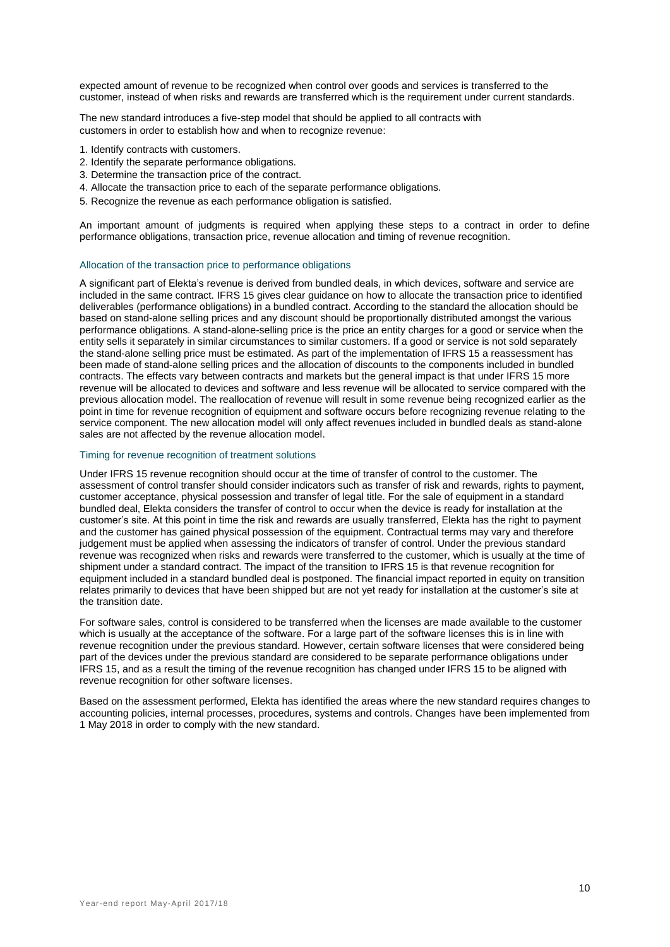expected amount of revenue to be recognized when control over goods and services is transferred to the customer, instead of when risks and rewards are transferred which is the requirement under current standards.

The new standard introduces a five-step model that should be applied to all contracts with customers in order to establish how and when to recognize revenue:

- 1. Identify contracts with customers.
- 2. Identify the separate performance obligations.
- 3. Determine the transaction price of the contract.
- 4. Allocate the transaction price to each of the separate performance obligations.
- 5. Recognize the revenue as each performance obligation is satisfied.

An important amount of judgments is required when applying these steps to a contract in order to define performance obligations, transaction price, revenue allocation and timing of revenue recognition.

#### Allocation of the transaction price to performance obligations

A significant part of Elekta's revenue is derived from bundled deals, in which devices, software and service are included in the same contract. IFRS 15 gives clear guidance on how to allocate the transaction price to identified deliverables (performance obligations) in a bundled contract. According to the standard the allocation should be based on stand-alone selling prices and any discount should be proportionally distributed amongst the various performance obligations. A stand-alone-selling price is the price an entity charges for a good or service when the entity sells it separately in similar circumstances to similar customers. If a good or service is not sold separately the stand-alone selling price must be estimated. As part of the implementation of IFRS 15 a reassessment has been made of stand-alone selling prices and the allocation of discounts to the components included in bundled contracts. The effects vary between contracts and markets but the general impact is that under IFRS 15 more revenue will be allocated to devices and software and less revenue will be allocated to service compared with the previous allocation model. The reallocation of revenue will result in some revenue being recognized earlier as the point in time for revenue recognition of equipment and software occurs before recognizing revenue relating to the service component. The new allocation model will only affect revenues included in bundled deals as stand-alone sales are not affected by the revenue allocation model.

#### Timing for revenue recognition of treatment solutions

Under IFRS 15 revenue recognition should occur at the time of transfer of control to the customer. The assessment of control transfer should consider indicators such as transfer of risk and rewards, rights to payment, customer acceptance, physical possession and transfer of legal title. For the sale of equipment in a standard bundled deal, Elekta considers the transfer of control to occur when the device is ready for installation at the customer's site. At this point in time the risk and rewards are usually transferred, Elekta has the right to payment and the customer has gained physical possession of the equipment. Contractual terms may vary and therefore judgement must be applied when assessing the indicators of transfer of control. Under the previous standard revenue was recognized when risks and rewards were transferred to the customer, which is usually at the time of shipment under a standard contract. The impact of the transition to IFRS 15 is that revenue recognition for equipment included in a standard bundled deal is postponed. The financial impact reported in equity on transition relates primarily to devices that have been shipped but are not yet ready for installation at the customer's site at the transition date.

For software sales, control is considered to be transferred when the licenses are made available to the customer which is usually at the acceptance of the software. For a large part of the software licenses this is in line with revenue recognition under the previous standard. However, certain software licenses that were considered being part of the devices under the previous standard are considered to be separate performance obligations under IFRS 15, and as a result the timing of the revenue recognition has changed under IFRS 15 to be aligned with revenue recognition for other software licenses.

Based on the assessment performed, Elekta has identified the areas where the new standard requires changes to accounting policies, internal processes, procedures, systems and controls. Changes have been implemented from 1 May 2018 in order to comply with the new standard.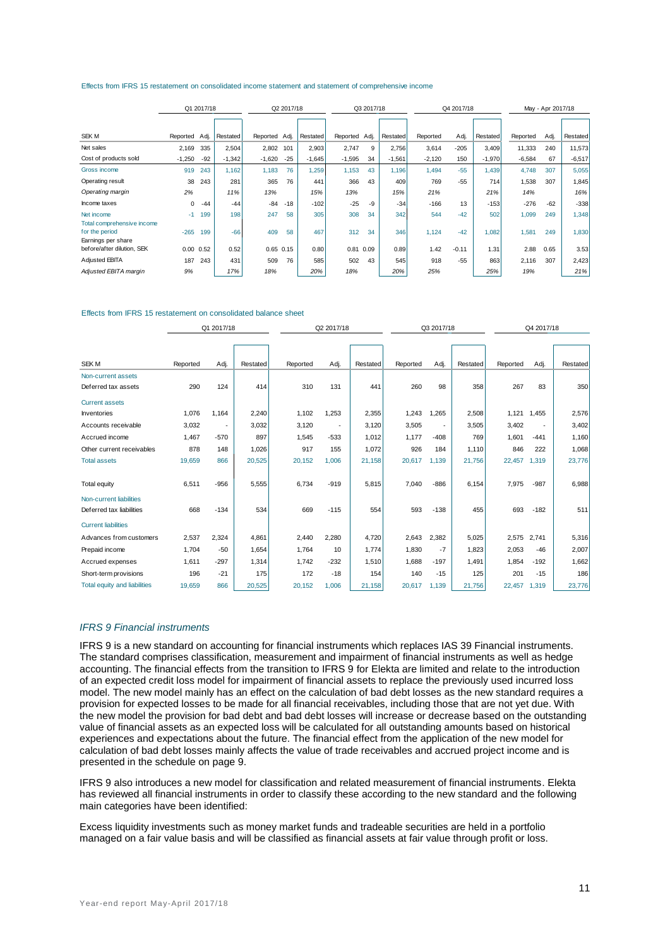#### Effects from IFRS 15 restatement on consolidated income statement and statement of comprehensive income

|                                          |          | Q1 2017/18 |          |               | Q2 2017/18 |          |               | Q3 2017/18 |          |          | Q4 2017/18 |          |          | May - Apr 2017/18 |          |
|------------------------------------------|----------|------------|----------|---------------|------------|----------|---------------|------------|----------|----------|------------|----------|----------|-------------------|----------|
|                                          |          |            |          |               |            |          |               |            |          |          |            |          |          |                   |          |
| SEK M                                    | Reported | Adj.       | Restated | Reported Adj. |            | Restated | Reported Adj. |            | Restated | Reported | Adj.       | Restated | Reported | Adj.              | Restated |
| Net sales                                | 2,169    | 335        | 2,504    | 2,802         | 101        | 2,903    | 2,747         | 9          | 2,756    | 3,614    | $-205$     | 3,409    | 11,333   | 240               | 11,573   |
| Cost of products sold                    | $-1,250$ | $-92$      | $-1,342$ | $-1,620$      | $-25$      | $-1,645$ | $-1,595$      | 34         | $-1,561$ | $-2,120$ | 150        | $-1,970$ | $-6,584$ | 67                | $-6,517$ |
| Gross income                             | 919      | 243        | 1.162    | 1,183         | 76         | 1,259    | 1,153         | 43         | 1.196    | 1.494    | $-55$      | 1,439    | 4,748    | 307               | 5,055    |
| Operating result                         | 38       | 243        | 281      | 365           | 76         | 441      | 366           | 43         | 409      | 769      | $-55$      | 714      | 1,538    | 307               | 1,845    |
| Operating margin                         | 2%       |            | 11%      | 13%           |            | 15%      | 13%           |            | 15%      | 21%      |            | 21%      | 14%      |                   | 16%      |
| Income taxes                             | 0        | $-44$      | $-44$    | $-84$         | $-18$      | $-102$   | $-25$         | $-9$       | $-34$    | $-166$   | 13         | $-153$   | $-276$   | $-62$             | $-338$   |
| Net income<br>Total comprehensive income | $-1$     | 199        | 198      | 247           | 58         | 305      | 308           | 34         | 342      | 544      | $-42$      | 502      | 1,099    | 249               | 1,348    |
| for the period<br>Earnings per share     | $-265$   | 199        | $-66$    | 409           | 58         | 467      | 312           | 34         | 346      | 1,124    | $-42$      | 1,082    | 1,581    | 249               | 1,830    |
| before/after dilution, SEK               | 0.00     | 0.52       | 0.52     | $0.65$ $0.15$ |            | 0.80     | 0.81          | 0.09       | 0.89     | 1.42     | $-0.11$    | 1.31     | 2.88     | 0.65              | 3.53     |
| Adjusted EBITA                           | 187      | 243        | 431      | 509           | 76         | 585      | 502           | 43         | 545      | 918      | $-55$      | 863      | 2,116    | 307               | 2,423    |
| Adjusted EBITA margin                    | 9%       |            | 17%      | 18%           |            | 20%      | 18%           |            | 20%      | 25%      |            | 25%      | 19%      |                   | 21%      |

#### Effects from IFRS 15 restatement on consolidated balance sheet

|                                     |          | Q1 2017/18               |          |          | Q2 2017/18 |          |          | Q3 2017/18 |          |          | Q4 2017/18               |          |
|-------------------------------------|----------|--------------------------|----------|----------|------------|----------|----------|------------|----------|----------|--------------------------|----------|
|                                     |          |                          |          |          |            |          |          |            |          |          |                          |          |
| SEK <sub>M</sub>                    | Reported | Adj.                     | Restated | Reported | Adj.       | Restated | Reported | Adj.       | Restated | Reported | Adj.                     | Restated |
| Non-current assets                  |          |                          |          |          |            |          |          |            |          |          |                          |          |
| Deferred tax assets                 | 290      | 124                      | 414      | 310      | 131        | 441      | 260      | 98         | 358      | 267      | 83                       | 350      |
| <b>Current assets</b>               |          |                          |          |          |            |          |          |            |          |          |                          |          |
| <b>Inventories</b>                  | 1,076    | 1,164                    | 2,240    | 1,102    | 1.253      | 2,355    | 1,243    | 1,265      | 2,508    | 1,121    | 1,455                    | 2,576    |
| Accounts receivable                 | 3,032    | $\overline{\phantom{a}}$ | 3,032    | 3,120    |            | 3,120    | 3,505    | ٠          | 3,505    | 3,402    | $\overline{\phantom{a}}$ | 3,402    |
| Accrued income                      | 1.467    | $-570$                   | 897      | 1,545    | $-533$     | 1,012    | 1,177    | $-408$     | 769      | 1,601    | $-441$                   | 1,160    |
| Other current receivables           | 878      | 148                      | 1,026    | 917      | 155        | 1,072    | 926      | 184        | 1,110    | 846      | 222                      | 1,068    |
| <b>Total assets</b>                 | 19,659   | 866                      | 20,525   | 20,152   | 1,006      | 21,158   | 20,617   | 1,139      | 21,756   | 22,457   | 1,319                    | 23,776   |
| <b>Total equity</b>                 | 6,511    | $-956$                   | 5,555    | 6,734    | $-919$     | 5,815    | 7,040    | $-886$     | 6,154    | 7,975    | $-987$                   | 6,988    |
| Non-current liabilities             |          |                          |          |          |            |          |          |            |          |          |                          |          |
| Deferred tax liabilities            | 668      | $-134$                   | 534      | 669      | $-115$     | 554      | 593      | $-138$     | 455      | 693      | $-182$                   | 511      |
| <b>Current liabilities</b>          |          |                          |          |          |            |          |          |            |          |          |                          |          |
| Advances from customers             | 2,537    | 2,324                    | 4,861    | 2,440    | 2,280      | 4,720    | 2,643    | 2,382      | 5,025    | 2,575    | 2,741                    | 5,316    |
| Prepaid income                      | 1,704    | $-50$                    | 1,654    | 1,764    | 10         | 1.774    | 1,830    | $-7$       | 1,823    | 2,053    | $-46$                    | 2,007    |
| Accrued expenses                    | 1,611    | $-297$                   | 1,314    | 1,742    | $-232$     | 1,510    | 1,688    | $-197$     | 1,491    | 1,854    | $-192$                   | 1,662    |
| Short-term provisions               | 196      | $-21$                    | 175      | 172      | $-18$      | 154      | 140      | $-15$      | 125      | 201      | $-15$                    | 186      |
| <b>Total equity and liabilities</b> | 19.659   | 866                      | 20,525   | 20.152   | 1.006      | 21.158   | 20.617   | 1.139      | 21.756   | 22,457   | 1.319                    | 23,776   |

#### *IFRS 9 Financial instruments*

IFRS 9 is a new standard on accounting for financial instruments which replaces IAS 39 Financial instruments. The standard comprises classification, measurement and impairment of financial instruments as well as hedge accounting. The financial effects from the transition to IFRS 9 for Elekta are limited and relate to the introduction of an expected credit loss model for impairment of financial assets to replace the previously used incurred loss model. The new model mainly has an effect on the calculation of bad debt losses as the new standard requires a provision for expected losses to be made for all financial receivables, including those that are not yet due. With the new model the provision for bad debt and bad debt losses will increase or decrease based on the outstanding value of financial assets as an expected loss will be calculated for all outstanding amounts based on historical experiences and expectations about the future. The financial effect from the application of the new model for calculation of bad debt losses mainly affects the value of trade receivables and accrued project income and is presented in the schedule on page 9.

IFRS 9 also introduces a new model for classification and related measurement of financial instruments. Elekta has reviewed all financial instruments in order to classify these according to the new standard and the following main categories have been identified:

Excess liquidity investments such as money market funds and tradeable securities are held in a portfolio managed on a fair value basis and will be classified as financial assets at fair value through profit or loss.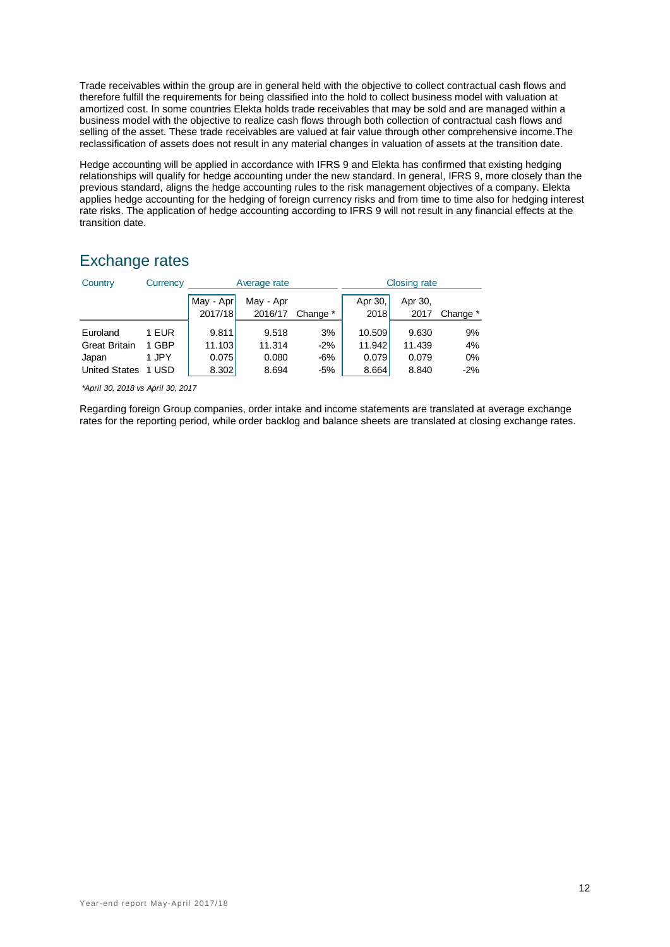Trade receivables within the group are in general held with the objective to collect contractual cash flows and therefore fulfill the requirements for being classified into the hold to collect business model with valuation at amortized cost. In some countries Elekta holds trade receivables that may be sold and are managed within a business model with the objective to realize cash flows through both collection of contractual cash flows and selling of the asset. These trade receivables are valued at fair value through other comprehensive income.The reclassification of assets does not result in any material changes in valuation of assets at the transition date.

Hedge accounting will be applied in accordance with IFRS 9 and Elekta has confirmed that existing hedging relationships will qualify for hedge accounting under the new standard. In general, IFRS 9, more closely than the previous standard, aligns the hedge accounting rules to the risk management objectives of a company. Elekta applies hedge accounting for the hedging of foreign currency risks and from time to time also for hedging interest rate risks. The application of hedge accounting according to IFRS 9 will not result in any financial effects at the transition date.

# Exchange rates

| Country              | Currency |                      | Average rate         |          | <b>Closing rate</b> |                 |          |  |
|----------------------|----------|----------------------|----------------------|----------|---------------------|-----------------|----------|--|
|                      |          | May - Apr<br>2017/18 | May - Apr<br>2016/17 | Change * | Apr 30,<br>2018     | Apr 30,<br>2017 | Change * |  |
| Euroland             | 1 EUR    | 9.811                | 9.518                | 3%       | 10.509              | 9.630           | 9%       |  |
| <b>Great Britain</b> | 1 GBP    | 11.103               | 11.314               | $-2%$    | 11.942              | 11.439          | 4%       |  |
| Japan                | 1 JPY    | 0.075                | 0.080                | $-6%$    | 0.079               | 0.079           | 0%       |  |
| <b>United States</b> | 1 USD    | 8.302                | 8.694                | $-5%$    | 8.664               | 8.840           | $-2%$    |  |

*\*April 30, 2018 vs April 30, 2017*

Regarding foreign Group companies, order intake and income statements are translated at average exchange rates for the reporting period, while order backlog and balance sheets are translated at closing exchange rates.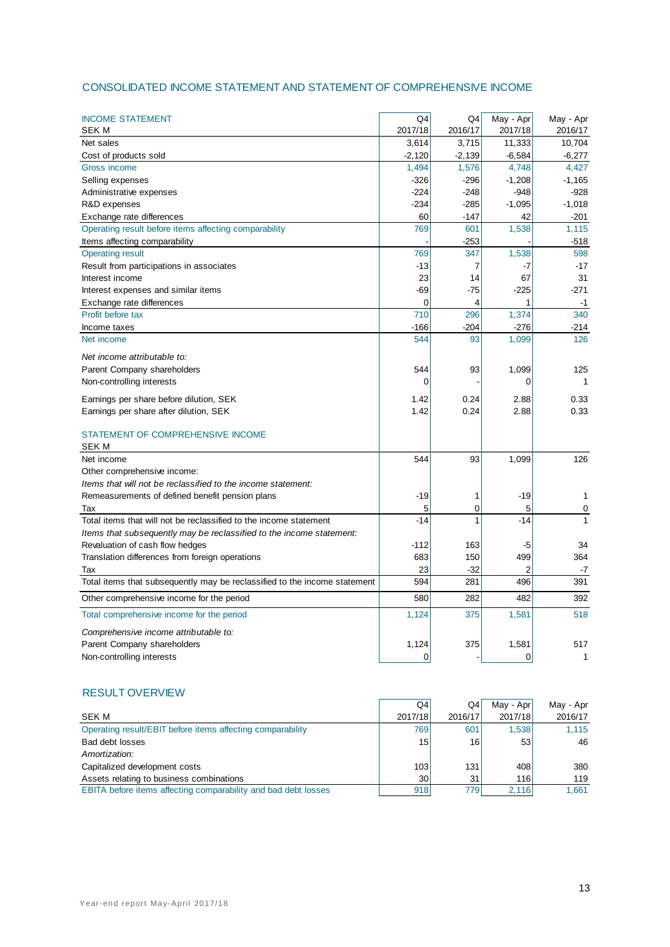## CONSOLIDATED INCOME STATEMENT AND STATEMENT OF COMPREHENSIVE INCOME

| <b>INCOME STATEMENT</b><br><b>SEK M</b>                                          | Q4<br>2017/18 | Q4<br>2016/17 | May - Apr      | May - Apr    |
|----------------------------------------------------------------------------------|---------------|---------------|----------------|--------------|
|                                                                                  |               |               | 2017/18        | 2016/17      |
| Net sales                                                                        | 3,614         | 3,715         | 11,333         | 10,704       |
| Cost of products sold                                                            | $-2,120$      | $-2,139$      | $-6,584$       | $-6,277$     |
| Gross income                                                                     | 1,494         | 1,576         | 4,748          | 4,427        |
| Selling expenses                                                                 | -326          | $-296$        | $-1,208$       | $-1,165$     |
| Administrative expenses                                                          | $-224$        | $-248$        | -948           | $-928$       |
| R&D expenses                                                                     | $-234$        | $-285$        | $-1,095$       | $-1,018$     |
| Exchange rate differences                                                        | 60            | $-147$        | 42             | $-201$       |
| Operating result before items affecting comparability                            | 769           | 601           | 1,538          | 1,115        |
| Items affecting comparability                                                    |               | $-253$        |                | $-518$       |
| <b>Operating result</b>                                                          | 769           | 347           | 1,538          | 598          |
| Result from participations in associates                                         | -13           | 7             | -7             | $-17$        |
| Interest income                                                                  | 23            | 14            | 67             | 31           |
| Interest expenses and similar items                                              | $-69$         | $-75$         | $-225$         | $-271$       |
| Exchange rate differences                                                        | $\Omega$      | 4             | 1              | $-1$         |
| Profit before tax                                                                | 710           | 296           | 1,374          | 340          |
| Income taxes                                                                     | $-166$        | $-204$        | $-276$         | $-214$       |
| Net income                                                                       | 544           | 93            | 1,099          | 126          |
| Net income attributable to:                                                      |               |               |                |              |
| Parent Company shareholders                                                      | 544           | 93            | 1,099          | 125          |
| Non-controlling interests                                                        | 0             |               | $\Omega$       | $\mathbf{1}$ |
| Earnings per share before dilution, SEK                                          | 1.42          | 0.24          | 2.88           | 0.33         |
|                                                                                  | 1.42          | 0.24          | 2.88           | 0.33         |
| Earnings per share after dilution, SEK                                           |               |               |                |              |
| STATEMENT OF COMPREHENSIVE INCOME                                                |               |               |                |              |
| <b>SEK M</b>                                                                     |               |               |                |              |
| Net income                                                                       | 544           | 93            | 1,099          | 126          |
| Other comprehensive income:                                                      |               |               |                |              |
| Items that will not be reclassified to the income statement:                     |               |               |                |              |
| Remeasurements of defined benefit pension plans                                  | -19           | 1             | -19            | 1            |
| Tax                                                                              | 5             | 0             | 5              | 0            |
| Total items that will not be reclassified to the income statement                | $-14$         | 1             | $-14$          | 1            |
| Items that subsequently may be reclassified to the income statement:             |               |               |                |              |
| Revaluation of cash flow hedges                                                  | $-112$        | 163           | -5             | 34           |
| Translation differences from foreign operations                                  | 683           | 150           | 499            | 364          |
|                                                                                  | 23            | $-32$         | $\overline{2}$ | -7           |
| Tax<br>Total items that subsequently may be reclassified to the income statement | 594           | 281           | 496            | 391          |
|                                                                                  |               |               |                |              |
| Other comprehensive income for the period                                        | 580           | 282           | 482            | 392          |
| Total comprehensive income for the period                                        | 1,124         | 375           | 1,581          | 518          |
| Comprehensive income attributable to:                                            |               |               |                |              |
| Parent Company shareholders                                                      | 1,124         | 375           | 1,581          | 517          |
| Non-controlling interests                                                        | $\mathbf 0$   |               | 0              | 1            |

#### RESULT OVERVIEW

|                                                                | Q4      | Q4      | May - Apr | May - Apr |
|----------------------------------------------------------------|---------|---------|-----------|-----------|
| <b>SEK M</b>                                                   | 2017/18 | 2016/17 | 2017/18   | 2016/17   |
| Operating result/EBIT before items affecting comparability     | 769     | 601     | 1.538     | 1.115     |
| Bad debt losses                                                | 15      | 16      | 53        | 46        |
| Amortization:                                                  |         |         |           |           |
| Capitalized development costs                                  | 103     | 131     | 408       | 380       |
| Assets relating to business combinations                       | 30      | 31      | 116l      | 119       |
| EBITA before items affecting comparability and bad debt losses | 918     | 7791    | 2,116     | 1.661     |
|                                                                |         |         |           |           |

 $\overline{\phantom{a}}$ 

 $\overline{a}$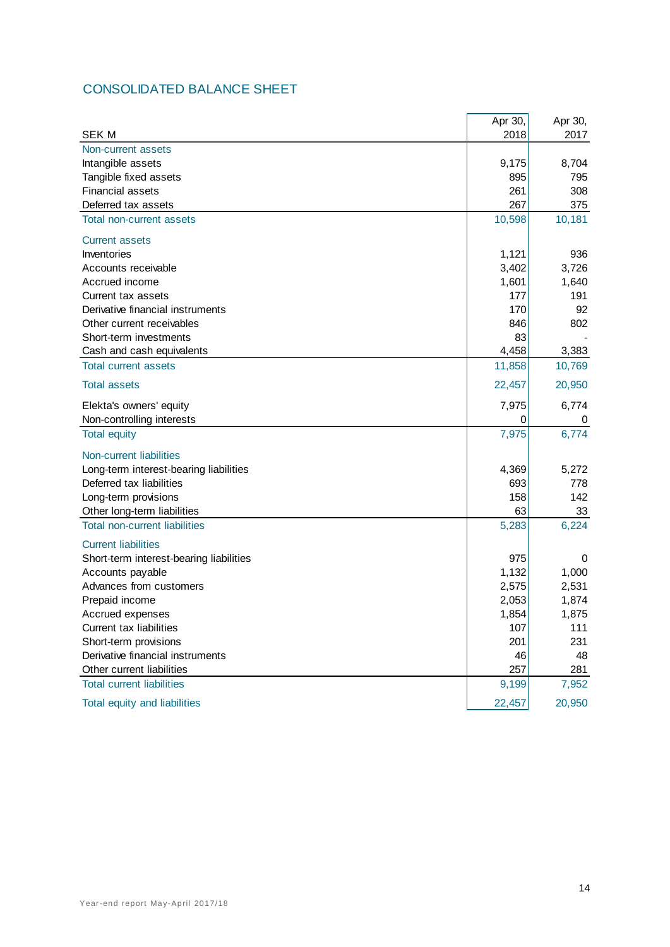# CONSOLIDATED BALANCE SHEET

|                                         | Apr 30, | Apr 30, |
|-----------------------------------------|---------|---------|
| <b>SEK M</b>                            | 2018    | 2017    |
| Non-current assets                      |         |         |
| Intangible assets                       | 9,175   | 8,704   |
| Tangible fixed assets                   | 895     | 795     |
| <b>Financial assets</b>                 | 261     | 308     |
| Deferred tax assets                     | 267     | 375     |
| <b>Total non-current assets</b>         | 10,598  | 10,181  |
| <b>Current assets</b>                   |         |         |
| Inventories                             | 1,121   | 936     |
| Accounts receivable                     | 3,402   | 3,726   |
| Accrued income                          | 1,601   | 1,640   |
| Current tax assets                      | 177     | 191     |
| Derivative financial instruments        | 170     | 92      |
| Other current receivables               | 846     | 802     |
| Short-term investments                  | 83      |         |
| Cash and cash equivalents               | 4,458   | 3,383   |
| <b>Total current assets</b>             | 11,858  | 10,769  |
| <b>Total assets</b>                     | 22,457  | 20,950  |
| Elekta's owners' equity                 | 7,975   | 6,774   |
| Non-controlling interests               | 0       | 0       |
| <b>Total equity</b>                     | 7,975   | 6,774   |
| Non-current liabilities                 |         |         |
| Long-term interest-bearing liabilities  | 4,369   | 5,272   |
| Deferred tax liabilities                | 693     | 778     |
| Long-term provisions                    | 158     | 142     |
| Other long-term liabilities             | 63      | 33      |
| <b>Total non-current liabilities</b>    | 5,283   | 6,224   |
| <b>Current liabilities</b>              |         |         |
| Short-term interest-bearing liabilities | 975     | 0       |
| Accounts payable                        | 1,132   | 1,000   |
| Advances from customers                 | 2,575   | 2,531   |
| Prepaid income                          | 2,053   | 1,874   |
| Accrued expenses                        | 1,854   | 1,875   |
| Current tax liabilities                 | 107     | 111     |
| Short-term provisions                   | 201     | 231     |
| Derivative financial instruments        | 46      | 48      |
| Other current liabilities               | 257     | 281     |
| <b>Total current liabilities</b>        | 9,199   | 7,952   |
| Total equity and liabilities            | 22,457  | 20,950  |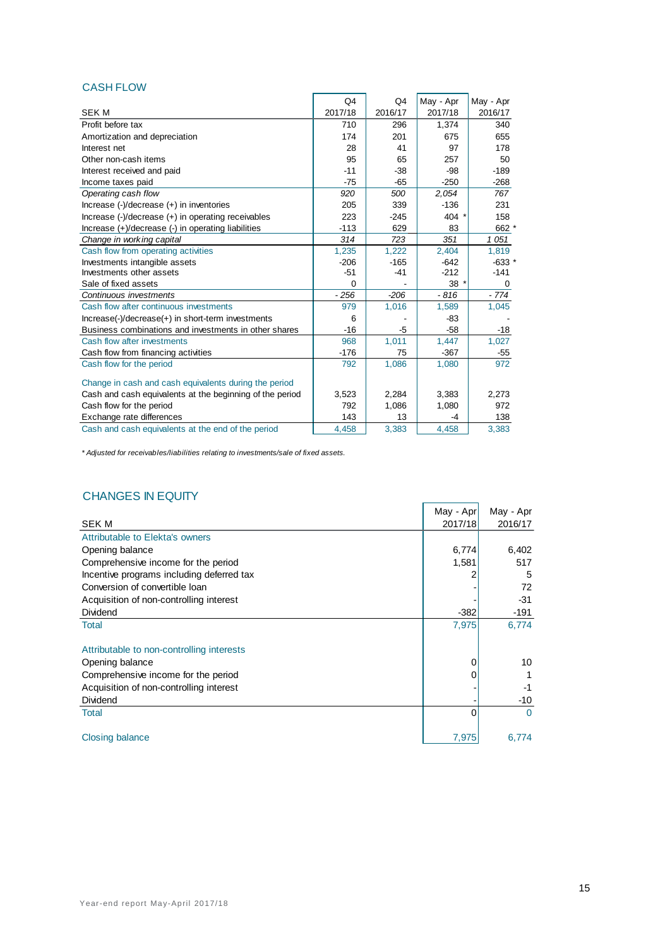## CASH FLOW

|                                                                                                  | Q4       | Q4      | May - Apr | May - Apr |
|--------------------------------------------------------------------------------------------------|----------|---------|-----------|-----------|
| <b>SEK M</b>                                                                                     | 2017/18  | 2016/17 | 2017/18   | 2016/17   |
| Profit before tax                                                                                | 710      | 296     | 1.374     | 340       |
| Amortization and depreciation                                                                    | 174      | 201     | 675       | 655       |
| Interest net                                                                                     | 28       | 41      | 97        | 178       |
| Other non-cash items                                                                             | 95       | 65      | 257       | 50        |
| Interest received and paid                                                                       | $-11$    | $-38$   | -98       | $-189$    |
| Income taxes paid                                                                                | $-75$    | $-65$   | $-250$    | $-268$    |
| Operating cash flow                                                                              | 920      | 500     | 2,054     | 767       |
| Increase $(-)/$ decrease $(+)$ in inventories                                                    | 205      | 339     | $-136$    | 231       |
| Increase $\left(\frac{1}{2}\right)$ decrease $\left(\frac{1}{2}\right)$ in operating receivables | 223      | $-245$  | 404       | 158       |
| Increase (+)/decrease (-) in operating liabilities                                               | $-113$   | 629     | 83        | 662 *     |
| Change in working capital                                                                        | 314      | 723     | 351       | 1051      |
| Cash flow from operating activities                                                              | 1,235    | 1,222   | 2,404     | 1,819     |
| Investments intangible assets                                                                    | $-206$   | $-165$  | $-642$    | $-633$ *  |
| Investments other assets                                                                         | $-51$    | $-41$   | $-212$    | $-141$    |
| Sale of fixed assets                                                                             | $\Omega$ |         | 38        | 0         |
| Continuous investments                                                                           | $-256$   | $-206$  | $-816$    | $-774$    |
| Cash flow after continuous investments                                                           | 979      | 1,016   | 1,589     | 1,045     |
| $Increase(-)/decrease(+)$ in short-term investments                                              | 6        |         | $-83$     |           |
| Business combinations and investments in other shares                                            | $-16$    | -5      | $-58$     | $-18$     |
| Cash flow after investments                                                                      | 968      | 1,011   | 1,447     | 1,027     |
| Cash flow from financing activities                                                              | $-176$   | 75      | $-367$    | $-55$     |
| Cash flow for the period                                                                         | 792      | 1,086   | 1,080     | 972       |
| Change in cash and cash equivalents during the period                                            |          |         |           |           |
| Cash and cash equivalents at the beginning of the period                                         | 3,523    | 2,284   | 3,383     | 2,273     |
| Cash flow for the period                                                                         | 792      | 1.086   | 1,080     | 972       |
| Exchange rate differences                                                                        | 143      | 13      | -4        | 138       |
| Cash and cash equivalents at the end of the period                                               | 4.458    | 3,383   | 4,458     | 3.383     |

*\* Adjusted for receivables/liabilities relating to investments/sale of fixed assets.*

## CHANGES IN EQUITY

| UTANGES IN EUUILI                         |           |           |
|-------------------------------------------|-----------|-----------|
|                                           | May - Apr | May - Apr |
| <b>SEK M</b>                              | 2017/18   | 2016/17   |
| Attributable to Elekta's owners           |           |           |
| Opening balance                           | 6,774     | 6,402     |
| Comprehensive income for the period       | 1,581     | 517       |
| Incentive programs including deferred tax |           | 5         |
| Conversion of convertible loan            |           | 72        |
| Acquisition of non-controlling interest   |           | -31       |
| Dividend                                  | $-382$    | -191      |
| Total                                     | 7,975     | 6,774     |
| Attributable to non-controlling interests |           |           |
| Opening balance                           | 0         | 10        |
| Comprehensive income for the period       |           |           |
| Acquisition of non-controlling interest   |           | $-1$      |
| Dividend                                  |           | $-10$     |
| Total                                     |           | $\Omega$  |
| Closing balance                           | 7,975     | 6,774     |
|                                           |           |           |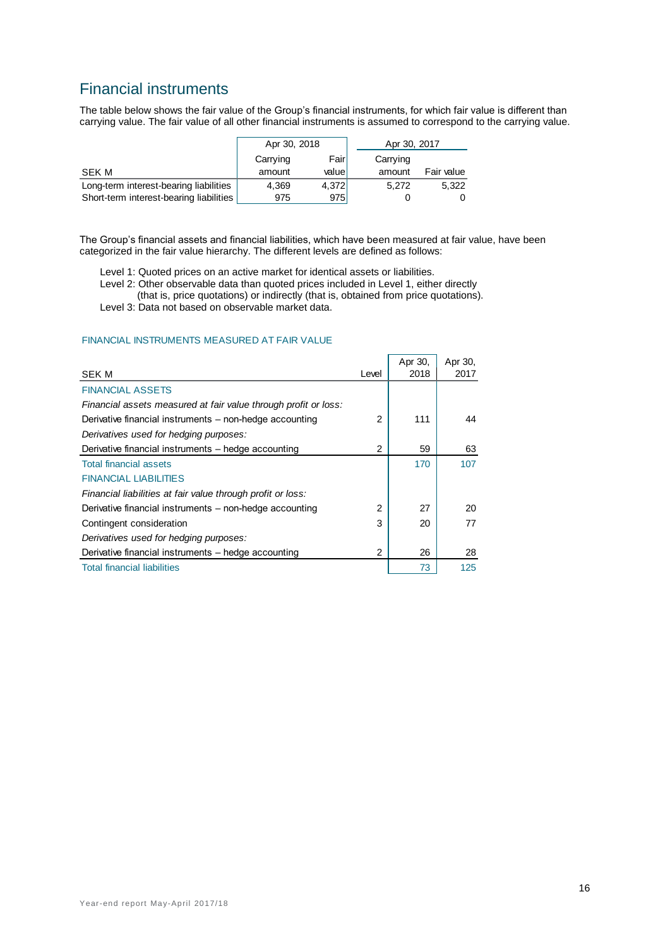# Financial instruments

The table below shows the fair value of the Group's financial instruments, for which fair value is different than carrying value. The fair value of all other financial instruments is assumed to correspond to the carrying value.

|                                         | Apr 30, 2018 |        | Apr 30, 2017 |            |
|-----------------------------------------|--------------|--------|--------------|------------|
|                                         | Carrying     | Fairl  | Carrying     |            |
| <b>SEK M</b>                            | amount       | valuel | amount       | Fair value |
| Long-term interest-bearing liabilities  | 4,369        | 4,372  | 5.272        | 5,322      |
| Short-term interest-bearing liabilities | 975          | 975    |              |            |

The Group's financial assets and financial liabilities, which have been measured at fair value, have been categorized in the fair value hierarchy. The different levels are defined as follows:

Level 1: Quoted prices on an active market for identical assets or liabilities.

- Level 2: Other observable data than quoted prices included in Level 1, either directly (that is, price quotations) or indirectly (that is, obtained from price quotations).
- Level 3: Data not based on observable market data.

#### FINANCIAL INSTRUMENTS MEASURED AT FAIR VALUE

| <b>SEK M</b>                                                    | Level | Apr 30,<br>2018 | Apr 30,<br>2017 |
|-----------------------------------------------------------------|-------|-----------------|-----------------|
| <b>FINANCIAL ASSETS</b>                                         |       |                 |                 |
| Financial assets measured at fair value through profit or loss: |       |                 |                 |
| Derivative financial instruments – non-hedge accounting         | 2     | 111             | 44              |
| Derivatives used for hedging purposes:                          |       |                 |                 |
| Derivative financial instruments - hedge accounting             | 2     | 59              | 63              |
| <b>Total financial assets</b>                                   |       | 170             | 107             |
| <b>FINANCIAL LIABILITIES</b>                                    |       |                 |                 |
| Financial liabilities at fair value through profit or loss:     |       |                 |                 |
| Derivative financial instruments – non-hedge accounting         | 2     | 27              | 20              |
| Contingent consideration                                        | 3     | 20              | 77              |
| Derivatives used for hedging purposes:                          |       |                 |                 |
| Derivative financial instruments – hedge accounting             | 2     | 26              | 28              |
| <b>Total financial liabilities</b>                              |       | 73              | 125             |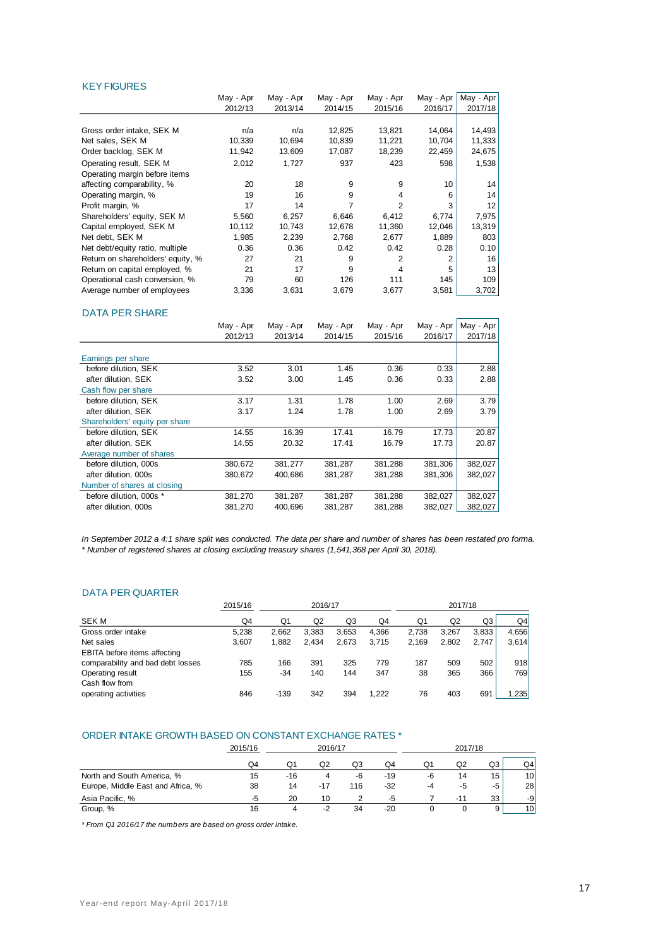#### **KEY FIGURES**

|                                   | May - Apr | May - Apr | May - Apr      | May - Apr      | May - Apr      | May - Apr |
|-----------------------------------|-----------|-----------|----------------|----------------|----------------|-----------|
|                                   | 2012/13   | 2013/14   | 2014/15        | 2015/16        | 2016/17        | 2017/18   |
|                                   |           |           |                |                |                |           |
| Gross order intake, SEK M         | n/a       | n/a       | 12,825         | 13,821         | 14,064         | 14,493    |
| Net sales, SEK M                  | 10,339    | 10,694    | 10,839         | 11,221         | 10,704         | 11,333    |
| Order backlog, SEK M              | 11,942    | 13,609    | 17,087         | 18,239         | 22,459         | 24,675    |
| Operating result, SEK M           | 2,012     | 1,727     | 937            | 423            | 598            | 1,538     |
| Operating margin before items     |           |           |                |                |                |           |
| affecting comparability, %        | 20        | 18        | 9              | 9              | 10             | 14        |
| Operating margin, %               | 19        | 16        | 9              | 4              | 6              | 14        |
| Profit margin, %                  | 17        | 14        | $\overline{7}$ | $\overline{2}$ | 3              | 12        |
| Shareholders' equity, SEK M       | 5,560     | 6,257     | 6,646          | 6,412          | 6,774          | 7,975     |
| Capital employed, SEK M           | 10,112    | 10,743    | 12,678         | 11,360         | 12,046         | 13,319    |
| Net debt, SEK M                   | 1,985     | 2,239     | 2,768          | 2,677          | 1,889          | 803       |
| Net debt/equity ratio, multiple   | 0.36      | 0.36      | 0.42           | 0.42           | 0.28           | 0.10      |
| Return on shareholders' equity, % | 27        | 21        | 9              | 2              | $\overline{2}$ | 16        |
| Return on capital employed, %     | 21        | 17        | 9              | 4              | 5              | 13        |
| Operational cash conversion, %    | 79        | 60        | 126            | 111            | 145            | 109       |
| Average number of employees       | 3,336     | 3,631     | 3,679          | 3,677          | 3,581          | 3,702     |
| <b>DATA PER SHARE</b>             |           |           |                |                |                |           |
|                                   | May - Apr | May - Apr | May - Apr      | May - Apr      | May - Apr      | May - Apr |
|                                   | 2012/13   | 2013/14   | 2014/15        | 2015/16        | 2016/17        | 2017/18   |
| Earnings per share                |           |           |                |                |                |           |

| Earnings per share             |         |         |         |         |         |         |
|--------------------------------|---------|---------|---------|---------|---------|---------|
| before dilution. SEK           | 3.52    | 3.01    | 1.45    | 0.36    | 0.33    | 2.88    |
| after dilution, SEK            | 3.52    | 3.00    | 1.45    | 0.36    | 0.33    | 2.88    |
| Cash flow per share            |         |         |         |         |         |         |
| before dilution. SEK           | 3.17    | 1.31    | 1.78    | 1.00    | 2.69    | 3.79    |
| after dilution, SEK            | 3.17    | 1.24    | 1.78    | 1.00    | 2.69    | 3.79    |
| Shareholders' equity per share |         |         |         |         |         |         |
| before dilution. SEK           | 14.55   | 16.39   | 17.41   | 16.79   | 17.73   | 20.87   |
| after dilution. SEK            | 14.55   | 20.32   | 17.41   | 16.79   | 17.73   | 20.87   |
| Average number of shares       |         |         |         |         |         |         |
| before dilution, 000s          | 380,672 | 381,277 | 381,287 | 381,288 | 381,306 | 382,027 |
| after dilution. 000s           | 380,672 | 400.686 | 381,287 | 381,288 | 381,306 | 382,027 |
| Number of shares at closing    |         |         |         |         |         |         |
| before dilution, 000s *        | 381,270 | 381,287 | 381,287 | 381,288 | 382,027 | 382,027 |
| after dilution, 000s           | 381,270 | 400.696 | 381,287 | 381,288 | 382,027 | 382,027 |

*In September 2012 a 4:1 share split was conducted. The data per share and number of shares has been restated pro forma. \* Number of registered shares at closing excluding treasury shares (1,541,368 per April 30, 2018).*

#### DATA PER QUARTER

|                                   | 2015/16 | 2016/17 |       |       |       | 2017/18 |       |       |       |
|-----------------------------------|---------|---------|-------|-------|-------|---------|-------|-------|-------|
|                                   |         |         |       |       |       |         |       |       |       |
| SEK M                             | Q4      | Q1      | Q2    | Q3    | Q4    | Q1      | Q2    | Q3    | Q4    |
| Gross order intake                | 5,238   | 2.662   | 3.383 | 3.653 | 4.366 | 2.738   | 3.267 | 3.833 | 4.656 |
| Net sales                         | 3,607   | 1.882   | 2.434 | 2,673 | 3.715 | 2.169   | 2.802 | 2.747 | 3,614 |
| EBITA before items affecting      |         |         |       |       |       |         |       |       |       |
| comparability and bad debt losses | 785     | 166     | 391   | 325   | 779   | 187     | 509   | 502   | 918   |
| Operating result                  | 155     | $-34$   | 140   | 144   | 347   | 38      | 365   | 366   | 769   |
| Cash flow from                    |         |         |       |       |       |         |       |       |       |
| operating activities              | 846     | $-139$  | 342   | 394   | 1.222 | 76      | 403   | 691   | .235  |

#### ORDER INTAKE GROWTH BASED ON CONSTANT EXCHANGE RATES \*

|                                   | 2015/16 |     | 2016/17 |     |       | 2017/18 |       |    |                |
|-----------------------------------|---------|-----|---------|-----|-------|---------|-------|----|----------------|
|                                   | O4      | Q1  | Q2      | Q3  | Q4    | Q1      | Q2    | Q3 | Q <sub>4</sub> |
| North and South America, %        | 15      | -16 | 4       | -6  | -19   | -6      | 14    | 15 | 10             |
| Europe, Middle East and Africa, % | 38      | 14  | $-17$   | 116 | -32   | -4      | -5    | -5 | 28             |
| Asia Pacific, %                   | -5      | 20  | 10      |     | -5    |         | $-11$ | 33 | -9             |
| Group, %                          | 16      |     | -2      | 34  | $-20$ |         |       | 9  | 10             |

*\* From Q1 2016/17 the numbers are based on gross order intake.*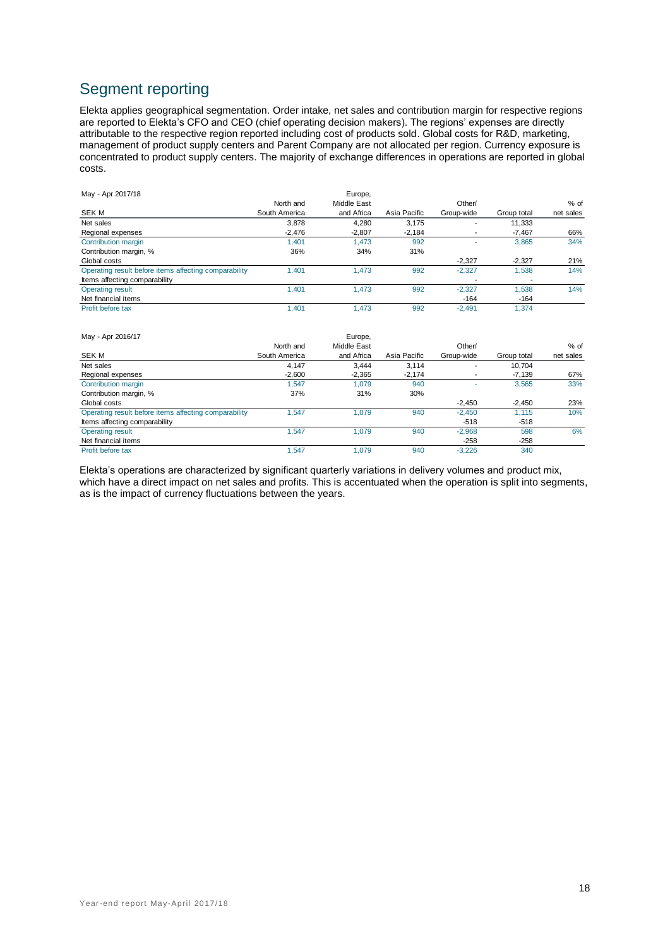# Segment reporting

Elekta applies geographical segmentation. Order intake, net sales and contribution margin for respective regions are reported to Elekta's CFO and CEO (chief operating decision makers). The regions' expenses are directly attributable to the respective region reported including cost of products sold. Global costs for R&D, marketing, management of product supply centers and Parent Company are not allocated per region. Currency exposure is concentrated to product supply centers. The majority of exchange differences in operations are reported in global costs.

| May - Apr 2017/18                                     |               | Europe.     |              |            |             |           |
|-------------------------------------------------------|---------------|-------------|--------------|------------|-------------|-----------|
|                                                       | North and     | Middle East |              | Other/     |             | $%$ of    |
| SEK M                                                 | South America | and Africa  | Asia Pacific | Group-wide | Group total | net sales |
| Net sales                                             | 3.878         | 4.280       | 3.175        |            | 11.333      |           |
| Regional expenses                                     | $-2,476$      | $-2.807$    | $-2,184$     |            | $-7.467$    | 66%       |
| Contribution margin                                   | 1.401         | 1.473       | 992          |            | 3,865       | 34%       |
| Contribution margin, %                                | 36%           | 34%         | 31%          |            |             |           |
| Global costs                                          |               |             |              | $-2,327$   | $-2.327$    | 21%       |
| Operating result before items affecting comparability | 1.401         | 1.473       | 992          | $-2.327$   | 1.538       | 14%       |
| Items affecting comparability                         |               |             |              | ٠.         | -           |           |
| <b>Operating result</b>                               | 1.401         | 1.473       | 992          | $-2.327$   | 1.538       | 14%       |
| Net financial items                                   |               |             |              | $-164$     | $-164$      |           |
| Profit before tax                                     | 1.401         | 1.473       | 992          | $-2.491$   | 1.374       |           |

| May - Apr 2016/17                                     |               | Europe,     |              |                          |             |           |
|-------------------------------------------------------|---------------|-------------|--------------|--------------------------|-------------|-----------|
|                                                       | North and     | Middle East |              | Other/                   |             | % of      |
| <b>SEK M</b>                                          | South America | and Africa  | Asia Pacific | Group-wide               | Group total | net sales |
| Net sales                                             | 4.147         | 3.444       | 3.114        | $\overline{\phantom{a}}$ | 10.704      |           |
| Regional expenses                                     | $-2,600$      | $-2,365$    | $-2,174$     | $\overline{\phantom{a}}$ | $-7.139$    | 67%       |
| Contribution margin                                   | 1.547         | 1.079       | 940          | ۰                        | 3.565       | 33%       |
| Contribution margin, %                                | 37%           | 31%         | 30%          |                          |             |           |
| Global costs                                          |               |             |              | $-2,450$                 | $-2.450$    | 23%       |
| Operating result before items affecting comparability | .547          | 1.079       | 940          | $-2,450$                 | 1.115       | 10%       |
| Items affecting comparability                         |               |             |              | $-518$                   | $-518$      |           |
| <b>Operating result</b>                               | 1.547         | 1.079       | 940          | $-2,968$                 | 598         | 6%        |
| Net financial items                                   |               |             |              | $-258$                   | $-258$      |           |
| Profit before tax                                     | .547          | 1.079       | 940          | $-3.226$                 | 340         |           |

Elekta's operations are characterized by significant quarterly variations in delivery volumes and product mix, which have a direct impact on net sales and profits. This is accentuated when the operation is split into segments, as is the impact of currency fluctuations between the years.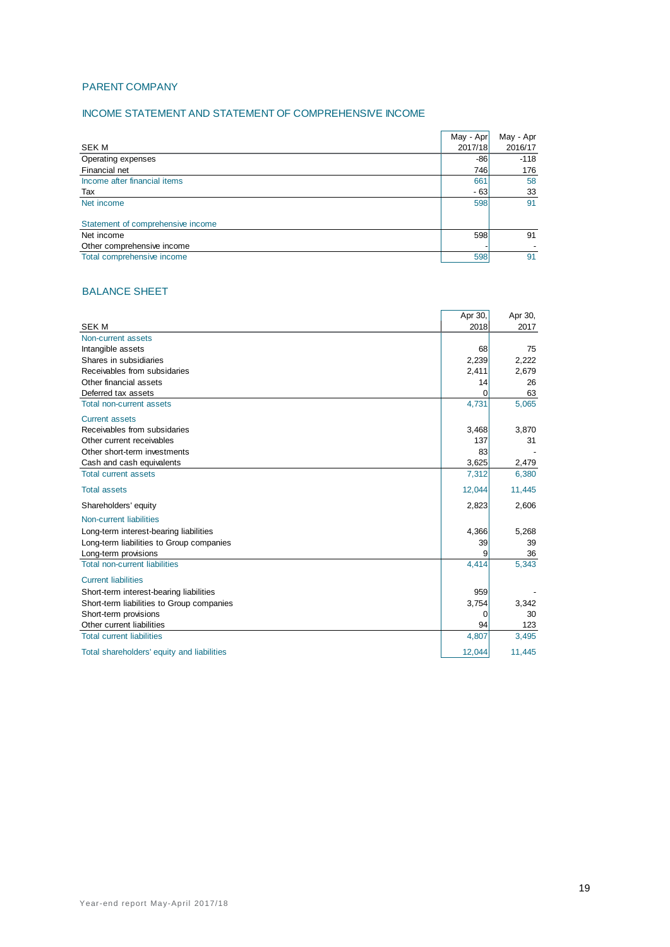## PARENT COMPANY

## INCOME STATEMENT AND STATEMENT OF COMPREHENSIVE INCOME

|                                   | May - Apr | May - Apr |
|-----------------------------------|-----------|-----------|
| SEK M                             | 2017/18   | 2016/17   |
| Operating expenses                | -86       | $-118$    |
| Financial net                     | 746       | 176       |
| Income after financial items      | 661       | 58        |
| Tax                               | $-63$     | 33        |
| Net income                        | 598       | 91        |
|                                   |           |           |
| Statement of comprehensive income |           |           |
| Net income                        | 598       | 91        |
| Other comprehensive income        |           |           |
| Total comprehensive income        | 598       | 91        |

## BALANCE SHEET

|                                            | Apr 30, | Apr 30, |
|--------------------------------------------|---------|---------|
| <b>SEK M</b>                               | 2018    | 2017    |
| Non-current assets                         |         |         |
| Intangible assets                          | 68      | 75      |
| Shares in subsidiaries                     | 2,239   | 2,222   |
| Receivables from subsidaries               | 2,411   | 2,679   |
| Other financial assets                     | 14      | 26      |
| Deferred tax assets                        | 0       | 63      |
| <b>Total non-current assets</b>            | 4,731   | 5,065   |
| <b>Current assets</b>                      |         |         |
| Receivables from subsidaries               | 3,468   | 3,870   |
| Other current receivables                  | 137     | 31      |
| Other short-term investments               | 83      |         |
| Cash and cash equivalents                  | 3,625   | 2,479   |
| <b>Total current assets</b>                | 7,312   | 6,380   |
| <b>Total assets</b>                        | 12,044  | 11,445  |
| Shareholders' equity                       | 2,823   | 2,606   |
| Non-current liabilities                    |         |         |
| Long-term interest-bearing liabilities     | 4,366   | 5,268   |
| Long-term liabilities to Group companies   | 39      | 39      |
| Long-term provisions                       |         | 36      |
| <b>Total non-current liabilities</b>       | 4,414   | 5,343   |
| <b>Current liabilities</b>                 |         |         |
| Short-term interest-bearing liabilities    | 959     |         |
| Short-term liabilities to Group companies  | 3,754   | 3,342   |
| Short-term provisions                      | 0       | 30      |
| Other current liabilities                  | 94      | 123     |
| <b>Total current liabilities</b>           | 4,807   | 3,495   |
| Total shareholders' equity and liabilities | 12,044  | 11,445  |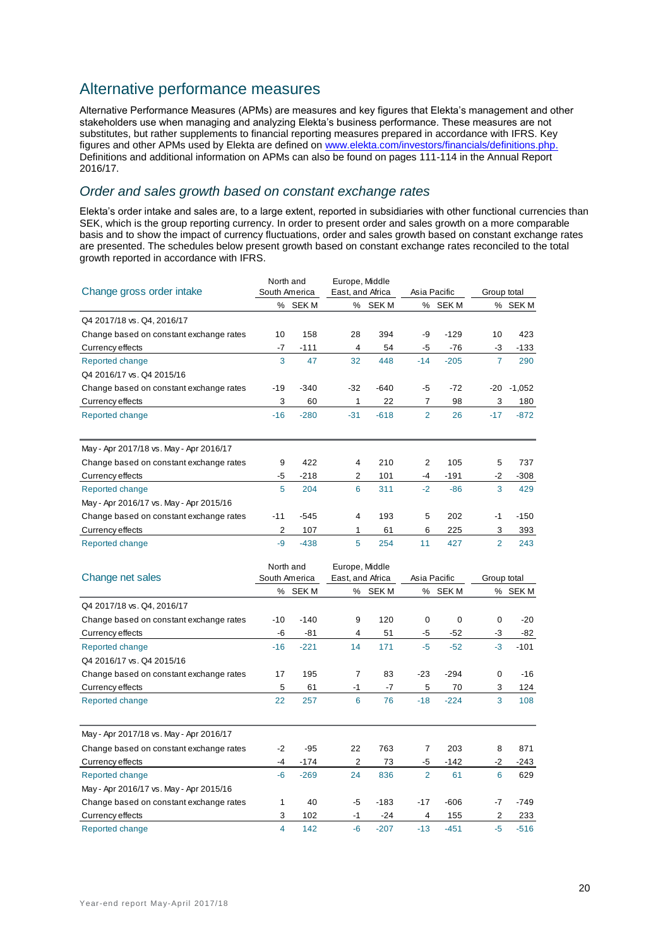# Alternative performance measures

Alternative Performance Measures (APMs) are measures and key figures that Elekta's management and other stakeholders use when managing and analyzing Elekta's business performance. These measures are not substitutes, but rather supplements to financial reporting measures prepared in accordance with IFRS. Key figures and other APMs used by Elekta are defined on [www.elekta.com/investors/financials/definitions.php.](http://www.elekta.com/investors/financials/definitions.php) Definitions and additional information on APMs can also be found on pages 111-114 in the Annual Report 2016/17.

## *Order and sales growth based on constant exchange rates*

Elekta's order intake and sales are, to a large extent, reported in subsidiaries with other functional currencies than SEK, which is the group reporting currency. In order to present order and sales growth on a more comparable basis and to show the impact of currency fluctuations, order and sales growth based on constant exchange rates are presented. The schedules below present growth based on constant exchange rates reconciled to the total growth reported in accordance with IFRS.

| Change gross order intake               | North and<br>South America |         | Europe, Middle<br>East, and Africa |         | Asia Pacific   |         |                | Group total |  |
|-----------------------------------------|----------------------------|---------|------------------------------------|---------|----------------|---------|----------------|-------------|--|
|                                         |                            | % SEK M |                                    | % SEK M |                | % SEK M |                | % SEK M     |  |
| Q4 2017/18 vs. Q4, 2016/17              |                            |         |                                    |         |                |         |                |             |  |
| Change based on constant exchange rates | 10                         | 158     | 28                                 | 394     | -9             | $-129$  | 10             | 423         |  |
| Currency effects                        | $-7$                       | $-111$  | 4                                  | 54      | -5             | $-76$   | -3             | $-133$      |  |
| Reported change                         | 3                          | 47      | 32                                 | 448     | $-14$          | $-205$  | $\overline{7}$ | 290         |  |
| Q4 2016/17 vs. Q4 2015/16               |                            |         |                                    |         |                |         |                |             |  |
| Change based on constant exchange rates | $-19$                      | $-340$  | $-32$                              | $-640$  | -5             | $-72$   | $-20$          | $-1,052$    |  |
| Currency effects                        | 3                          | 60      | 1                                  | 22      | 7              | 98      | 3              | 180         |  |
| Reported change                         | $-16$                      | $-280$  | $-31$                              | $-618$  | $\overline{2}$ | 26      | $-17$          | $-872$      |  |
|                                         |                            |         |                                    |         |                |         |                |             |  |
| May - Apr 2017/18 vs. May - Apr 2016/17 |                            |         |                                    |         |                |         |                |             |  |
| Change based on constant exchange rates | 9                          | 422     | 4                                  | 210     | 2              | 105     | 5              | 737         |  |
| Currency effects                        | -5                         | $-218$  | 2                                  | 101     | $-4$           | $-191$  | $-2$           | $-308$      |  |
| Reported change                         | 5                          | 204     | 6                                  | 311     | $-2$           | $-86$   | 3              | 429         |  |
| May - Apr 2016/17 vs. May - Apr 2015/16 |                            |         |                                    |         |                |         |                |             |  |
| Change based on constant exchange rates | $-11$                      | $-545$  | $\overline{4}$                     | 193     | 5              | 202     | $-1$           | $-150$      |  |
| Currency effects                        | 2                          | 107     | 1                                  | 61      | 6              | 225     | 3              | 393         |  |
| Reported change                         | $-9$                       | $-438$  | 5                                  | 254     | 11             | 427     | $\overline{2}$ | 243         |  |
|                                         | North and                  |         | Europe, Middle                     |         |                |         |                |             |  |

|                                         | 1901 81 1919 |               | Lui UUC, IVII UUIC |                  |       |              |             |         |
|-----------------------------------------|--------------|---------------|--------------------|------------------|-------|--------------|-------------|---------|
| Change net sales                        |              | South America |                    | East, and Africa |       | Asia Pacific | Group total |         |
|                                         |              | % SEK M       |                    | % SEK M          |       | % SEK M      |             | % SEK M |
| Q4 2017/18 vs. Q4, 2016/17              |              |               |                    |                  |       |              |             |         |
| Change based on constant exchange rates | -10          | $-140$        | 9                  | 120              | 0     | 0            | $\Omega$    | -20     |
| Currency effects                        | -6           | $-81$         | 4                  | 51               | -5    | $-52$        | -3          | $-82$   |
| Reported change                         | $-16$        | $-221$        | 14                 | 171              | $-5$  | $-52$        | $-3$        | $-101$  |
| Q4 2016/17 vs. Q4 2015/16               |              |               |                    |                  |       |              |             |         |
| Change based on constant exchange rates | 17           | 195           | 7                  | 83               | $-23$ | $-294$       | $\mathbf 0$ | -16     |
| Currency effects                        | 5            | 61            | -1                 | -7               | 5     | 70           | 3           | 124     |
| Reported change                         | 22           | 257           | 6                  | 76               | $-18$ | $-224$       | 3           | 108     |
| May - Apr 2017/18 vs. May - Apr 2016/17 |              |               |                    |                  |       |              |             |         |
| Change based on constant exchange rates | $-2$         | $-95$         | 22                 | 763              | 7     | 203          | 8           | 871     |
| Currency effects                        | $-4$         | $-174$        | 2                  | 73               | -5    | $-142$       | $-2$        | $-243$  |
| Reported change                         | $-6$         | $-269$        | 24                 | 836              | 2     | 61           | 6           | 629     |
| May - Apr 2016/17 vs. May - Apr 2015/16 |              |               |                    |                  |       |              |             |         |
| Change based on constant exchange rates | 1            | 40            | -5                 | $-183$           | -17   | $-606$       | $-7$        | $-749$  |
| Currency effects                        | 3            | 102           | -1                 | $-24$            | 4     | 155          | 2           | 233     |
| Reported change                         | 4            | 142           | $-6$               | $-207$           | $-13$ | $-451$       | -5          | $-516$  |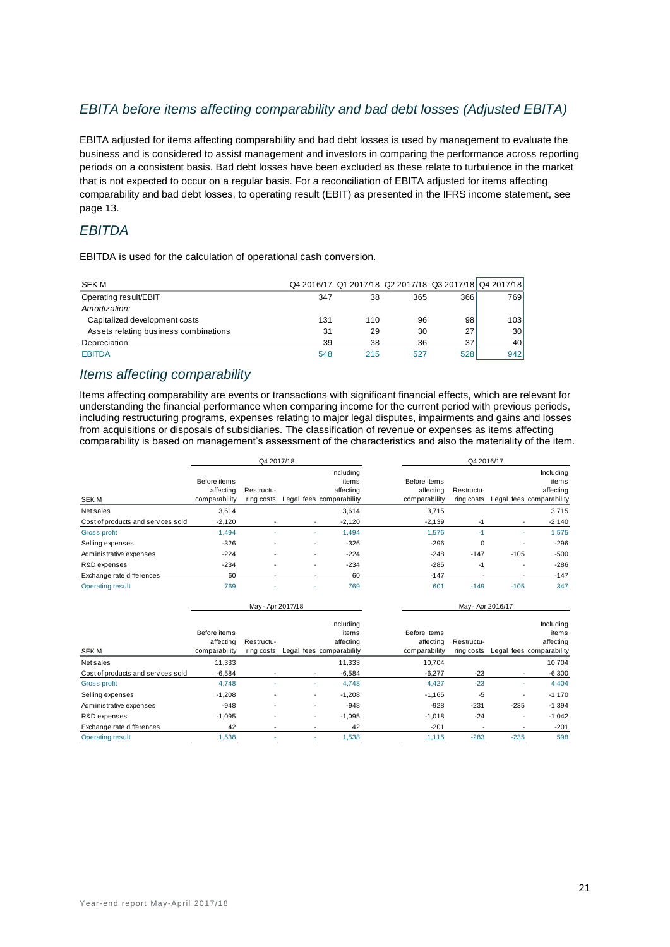## *EBITA before items affecting comparability and bad debt losses (Adjusted EBITA)*

EBITA adjusted for items affecting comparability and bad debt losses is used by management to evaluate the business and is considered to assist management and investors in comparing the performance across reporting periods on a consistent basis. Bad debt losses have been excluded as these relate to turbulence in the market that is not expected to occur on a regular basis. For a reconciliation of EBITA adjusted for items affecting comparability and bad debt losses, to operating result (EBIT) as presented in the IFRS income statement, see page 13.

## *EBITDA*

EBITDA is used for the calculation of operational cash conversion.

| <b>SEK M</b>                          |     | Q4 2016/17 Q1 2017/18 Q2 2017/18 Q3 2017/18 Q4 2017/18 |     |                 |     |
|---------------------------------------|-----|--------------------------------------------------------|-----|-----------------|-----|
| Operating result/EBIT                 | 347 | 38                                                     | 365 | 366             | 769 |
| Amortization:                         |     |                                                        |     |                 |     |
| Capitalized development costs         | 131 | 110                                                    | 96  | 98              | 103 |
| Assets relating business combinations | 31  | 29                                                     | 30  | 271             | 30  |
| Depreciation                          | 39  | 38                                                     | 36  | 37 <sub>1</sub> | 40  |
| <b>EBITDA</b>                         | 548 | 215                                                    | 527 | 528             | 942 |

## *Items affecting comparability*

Items affecting comparability are events or transactions with significant financial effects, which are relevant for understanding the financial performance when comparing income for the current period with previous periods, including restructuring programs, expenses relating to major legal disputes, impairments and gains and losses from acquisitions or disposals of subsidiaries*.* The classification of revenue or expenses as items affecting comparability is based on management's assessment of the characteristics and also the materiality of the item.

|                                    |                                            | Q4 2017/18               |   |                                                             | Q4 2016/17                                 |                          |                          |                                                             |  |
|------------------------------------|--------------------------------------------|--------------------------|---|-------------------------------------------------------------|--------------------------------------------|--------------------------|--------------------------|-------------------------------------------------------------|--|
| <b>SEKM</b>                        | Before items<br>affecting<br>comparability | Restructu-<br>ring costs |   | Including<br>items<br>affecting<br>Legal fees comparability | Before items<br>affecting<br>comparability | Restructu-<br>ring costs |                          | Including<br>items<br>affecting<br>Legal fees comparability |  |
| Net sales                          | 3.614                                      |                          |   | 3,614                                                       | 3.715                                      |                          |                          | 3,715                                                       |  |
| Cost of products and services sold | $-2.120$                                   |                          |   | $-2,120$                                                    | $-2,139$                                   | -1                       | $\overline{\phantom{a}}$ | $-2,140$                                                    |  |
| Gross profit                       | 1.494                                      | $\overline{\phantom{a}}$ | ۰ | 1.494                                                       | 1.576                                      | -1                       | ۰                        | 1,575                                                       |  |
| Selling expenses                   | $-326$                                     |                          |   | $-326$                                                      | $-296$                                     | $\Omega$                 | ٠                        | $-296$                                                      |  |
| Administrative expenses            | $-224$                                     | -                        |   | $-224$                                                      | $-248$                                     | $-147$                   | $-105$                   | $-500$                                                      |  |
| R&D expenses                       | $-234$                                     |                          |   | $-234$                                                      | $-285$                                     | $-1$                     | $\overline{\phantom{a}}$ | $-286$                                                      |  |
| Exchange rate differences          | 60                                         |                          |   | 60                                                          | $-147$                                     |                          | ٠                        | $-147$                                                      |  |
| <b>Operating result</b>            | 769                                        |                          |   | 769                                                         | 601                                        | $-149$                   | $-105$                   | 347                                                         |  |

|                                    |                                            | May - Apr 2017/18        |                          |                                                             |                                            | May - Apr 2016/17        |                          |                                                             |
|------------------------------------|--------------------------------------------|--------------------------|--------------------------|-------------------------------------------------------------|--------------------------------------------|--------------------------|--------------------------|-------------------------------------------------------------|
| <b>SEKM</b>                        | Before items<br>affecting<br>comparability | Restructu-<br>ring costs |                          | Includina<br>items<br>affecting<br>Legal fees comparability | Before items<br>affecting<br>comparability | Restructu-<br>ring costs |                          | Including<br>items<br>affecting<br>Legal fees comparability |
| Net sales                          | 11.333                                     |                          |                          | 11,333                                                      | 10.704                                     |                          |                          | 10.704                                                      |
| Cost of products and services sold | $-6,584$                                   |                          | $\overline{\phantom{a}}$ | $-6,584$                                                    | $-6,277$                                   | $-23$                    | $\overline{\phantom{a}}$ | $-6,300$                                                    |
| Gross profit                       | 4.748                                      |                          |                          | 4,748                                                       | 4,427                                      | $-23$                    | ٠                        | 4,404                                                       |
| Selling expenses                   | $-1,208$                                   |                          | ۰                        | $-1,208$                                                    | $-1,165$                                   | $-5$                     | ٠                        | $-1,170$                                                    |
| Administrative expenses            | $-948$                                     |                          |                          | $-948$                                                      | $-928$                                     | $-231$                   | $-235$                   | $-1,394$                                                    |
| R&D expenses                       | $-1,095$                                   |                          | ۰                        | $-1,095$                                                    | $-1,018$                                   | $-24$                    | ٠                        | $-1,042$                                                    |
| Exchange rate differences          | 42                                         |                          |                          | 42                                                          | $-201$                                     |                          |                          | $-201$                                                      |
| <b>Operating result</b>            | 1,538                                      |                          |                          | 1,538                                                       | 1.115                                      | $-283$                   | $-235$                   | 598                                                         |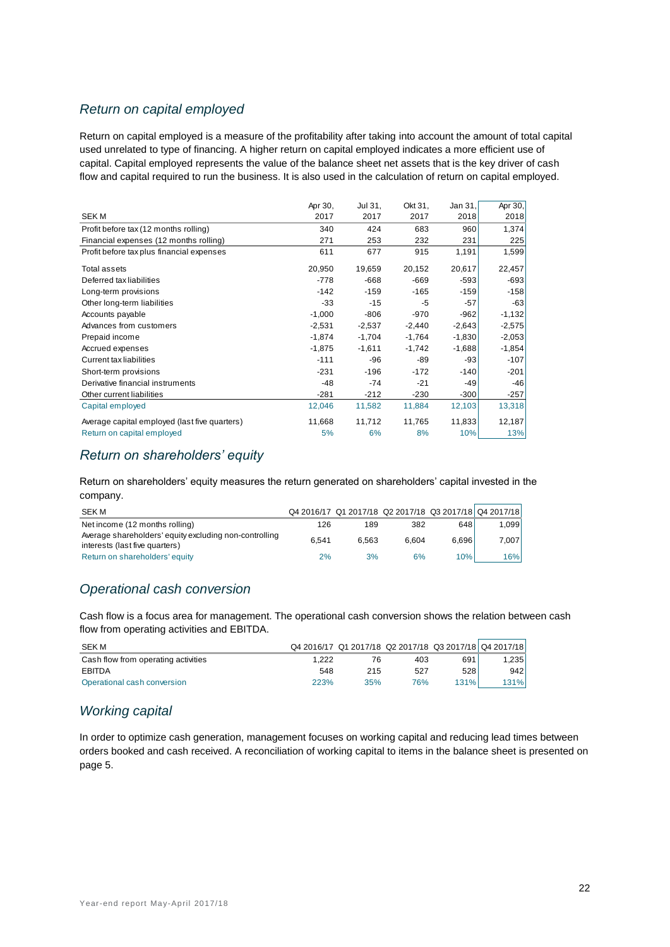## *Return on capital employed*

Return on capital employed is a measure of the profitability after taking into account the amount of total capital used unrelated to type of financing. A higher return on capital employed indicates a more efficient use of capital. Capital employed represents the value of the balance sheet net assets that is the key driver of cash flow and capital required to run the business. It is also used in the calculation of return on capital employed.

|                                               | Apr 30,  | Jul 31,  | Okt 31,  | Jan 31,  | Apr 30,  |
|-----------------------------------------------|----------|----------|----------|----------|----------|
| <b>SEKM</b>                                   | 2017     | 2017     | 2017     | 2018     | 2018     |
| Profit before tax (12 months rolling)         | 340      | 424      | 683      | 960      | 1,374    |
| Financial expenses (12 months rolling)        | 271      | 253      | 232      | 231      | 225      |
| Profit before tax plus financial expenses     | 611      | 677      | 915      | 1,191    | 1,599    |
| Total assets                                  | 20,950   | 19,659   | 20,152   | 20,617   | 22,457   |
| Deferred tax liabilities                      | $-778$   | -668     | -669     | $-593$   | $-693$   |
| Long-term provisions                          | $-142$   | $-159$   | $-165$   | $-159$   | $-158$   |
| Other long-term liabilities                   | -33      | $-15$    | -5       | $-57$    | $-63$    |
| Accounts payable                              | $-1,000$ | $-806$   | $-970$   | $-962$   | $-1,132$ |
| Advances from customers                       | $-2,531$ | $-2,537$ | $-2,440$ | $-2,643$ | $-2,575$ |
| Prepaid income                                | $-1,874$ | $-1,704$ | $-1,764$ | $-1,830$ | $-2,053$ |
| Accrued expenses                              | $-1,875$ | $-1,611$ | $-1,742$ | $-1,688$ | $-1,854$ |
| <b>Current tax liabilities</b>                | $-111$   | -96      | -89      | -93      | $-107$   |
| Short-term provisions                         | $-231$   | $-196$   | $-172$   | $-140$   | $-201$   |
| Derivative financial instruments              | $-48$    | $-74$    | $-21$    | $-49$    | $-46$    |
| Other current liabilities                     | $-281$   | $-212$   | $-230$   | $-300$   | $-257$   |
| Capital employed                              | 12,046   | 11,582   | 11,884   | 12,103   | 13,318   |
| Average capital employed (last five quarters) | 11,668   | 11,712   | 11,765   | 11,833   | 12,187   |
| Return on capital employed                    | 5%       | 6%       | 8%       | 10%      | 13%      |
|                                               |          |          |          |          |          |

## *Return on shareholders' equity*

Return on shareholders' equity measures the return generated on shareholders' capital invested in the company.

| SEK M                                                                                    |       |       | Q4 2016/17 Q1 2017/18 Q2 2017/18 Q3 2017/18 Q4 2017/18 |       |        |
|------------------------------------------------------------------------------------------|-------|-------|--------------------------------------------------------|-------|--------|
| Net income (12 months rolling)                                                           | 126   | 189   | 382                                                    | 648   | 1.0991 |
| Average shareholders' equity excluding non-controlling<br>interests (last five quarters) | 6.541 | 6.563 | 6.604                                                  | 6.696 | 7.007  |
| Return on shareholders' equity                                                           | 2%    | 3%    | 6%                                                     | 10%   | 16%    |

# *Operational cash conversion*

Cash flow is a focus area for management. The operational cash conversion shows the relation between cash flow from operating activities and EBITDA.

| SEK M                               |       |     |     |      | Q4 2016/17 Q1 2017/18 Q2 2017/18 Q3 2017/18 Q4 2017/18 |
|-------------------------------------|-------|-----|-----|------|--------------------------------------------------------|
| Cash flow from operating activities | 1.222 |     | 403 | 691  | 1.2351                                                 |
| EBITDA                              | 548   | 215 | 527 | 528  | 942                                                    |
| Operational cash conversion         | 223%  | 35% | 76% | 131% | 131%l                                                  |

## *Working capital*

In order to optimize cash generation, management focuses on working capital and reducing lead times between orders booked and cash received. A reconciliation of working capital to items in the balance sheet is presented on page 5.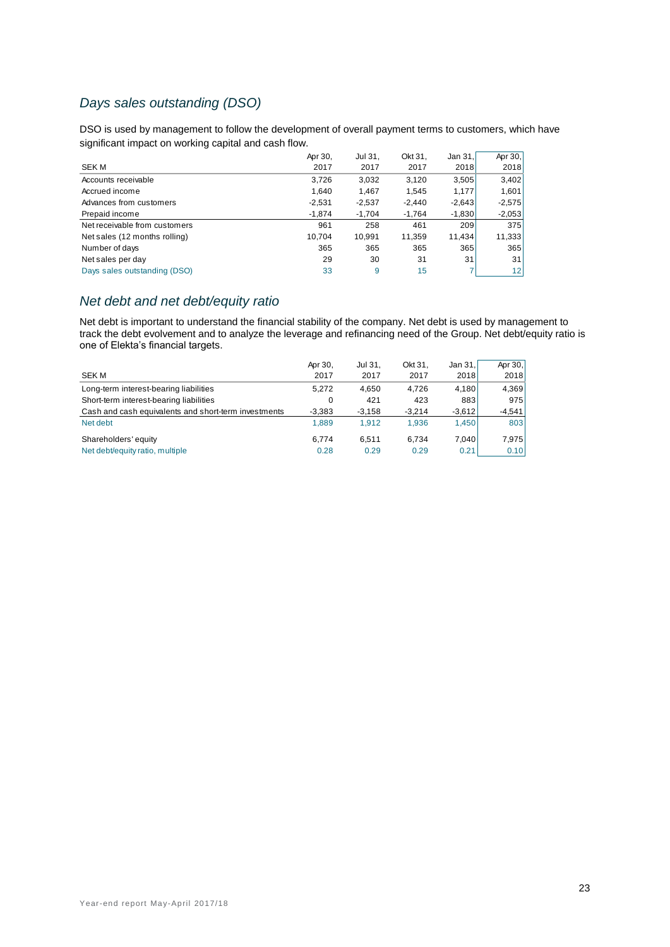# *Days sales outstanding (DSO)*

DSO is used by management to follow the development of overall payment terms to customers, which have significant impact on working capital and cash flow.

|                               | Apr 30,  | Jul 31,  | Okt 31,  | Jan 31   | Apr 30,         |
|-------------------------------|----------|----------|----------|----------|-----------------|
| <b>SEKM</b>                   | 2017     | 2017     | 2017     | 2018     | 2018            |
| Accounts receivable           | 3,726    | 3,032    | 3,120    | 3,505    | 3,402           |
| Accrued income                | 1.640    | 1,467    | 1,545    | 1,177    | 1,601           |
| Advances from customers       | $-2,531$ | $-2,537$ | $-2.440$ | $-2,643$ | $-2,575$        |
| Prepaid income                | $-1,874$ | $-1.704$ | $-1.764$ | $-1,830$ | $-2,053$        |
| Net receivable from customers | 961      | 258      | 461      | 209      | 375             |
| Net sales (12 months rolling) | 10.704   | 10.991   | 11,359   | 11.434   | 11,333          |
| Number of days                | 365      | 365      | 365      | 365      | 365             |
| Net sales per day             | 29       | 30       | 31       | 31       | 31              |
| Days sales outstanding (DSO)  | 33       | 9        | 15       |          | 12 <sub>1</sub> |

## *Net debt and net debt/equity ratio*

Net debt is important to understand the financial stability of the company. Net debt is used by management to track the debt evolvement and to analyze the leverage and refinancing need of the Group. Net debt/equity ratio is one of Elekta's financial targets.

|                                                      | Apr 30.  | Jul 31.  | Okt 31.  | Jan 31.  | Apr 30,  |
|------------------------------------------------------|----------|----------|----------|----------|----------|
| <b>SEK M</b>                                         | 2017     | 2017     | 2017     | 2018     | 2018     |
| Long-term interest-bearing liabilities               | 5.272    | 4.650    | 4.726    | 4.180    | 4,369    |
| Short-term interest-bearing liabilities              | 0        | 421      | 423      | 883      | 975      |
| Cash and cash equivalents and short-term investments | $-3,383$ | $-3,158$ | $-3.214$ | $-3,612$ | $-4,541$ |
| Net debt                                             | 1.889    | 1.912    | 1.936    | 1.450    | 803      |
| Shareholders' equity                                 | 6.774    | 6.511    | 6.734    | 7.040    | 7,975    |
| Net debt/equity ratio, multiple                      | 0.28     | 0.29     | 0.29     | 0.21     | 0.10     |